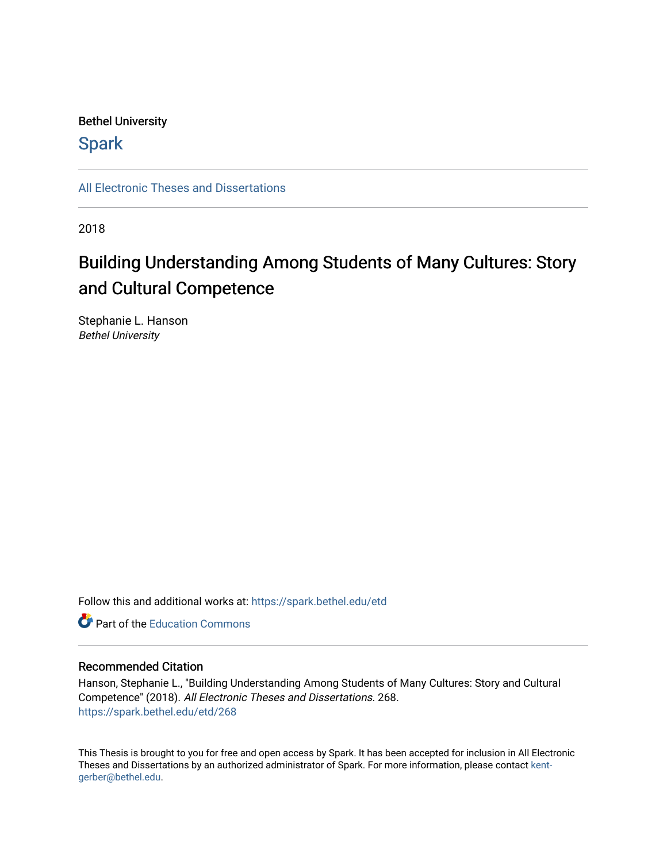### Bethel University

## **Spark**

[All Electronic Theses and Dissertations](https://spark.bethel.edu/etd) 

2018

## Building Understanding Among Students of Many Cultures: Story and Cultural Competence

Stephanie L. Hanson Bethel University

Follow this and additional works at: [https://spark.bethel.edu/etd](https://spark.bethel.edu/etd?utm_source=spark.bethel.edu%2Fetd%2F268&utm_medium=PDF&utm_campaign=PDFCoverPages)

**C** Part of the [Education Commons](http://network.bepress.com/hgg/discipline/784?utm_source=spark.bethel.edu%2Fetd%2F268&utm_medium=PDF&utm_campaign=PDFCoverPages)

#### Recommended Citation

Hanson, Stephanie L., "Building Understanding Among Students of Many Cultures: Story and Cultural Competence" (2018). All Electronic Theses and Dissertations. 268. [https://spark.bethel.edu/etd/268](https://spark.bethel.edu/etd/268?utm_source=spark.bethel.edu%2Fetd%2F268&utm_medium=PDF&utm_campaign=PDFCoverPages)

This Thesis is brought to you for free and open access by Spark. It has been accepted for inclusion in All Electronic Theses and Dissertations by an authorized administrator of Spark. For more information, please contact [kent](mailto:kent-gerber@bethel.edu)[gerber@bethel.edu.](mailto:kent-gerber@bethel.edu)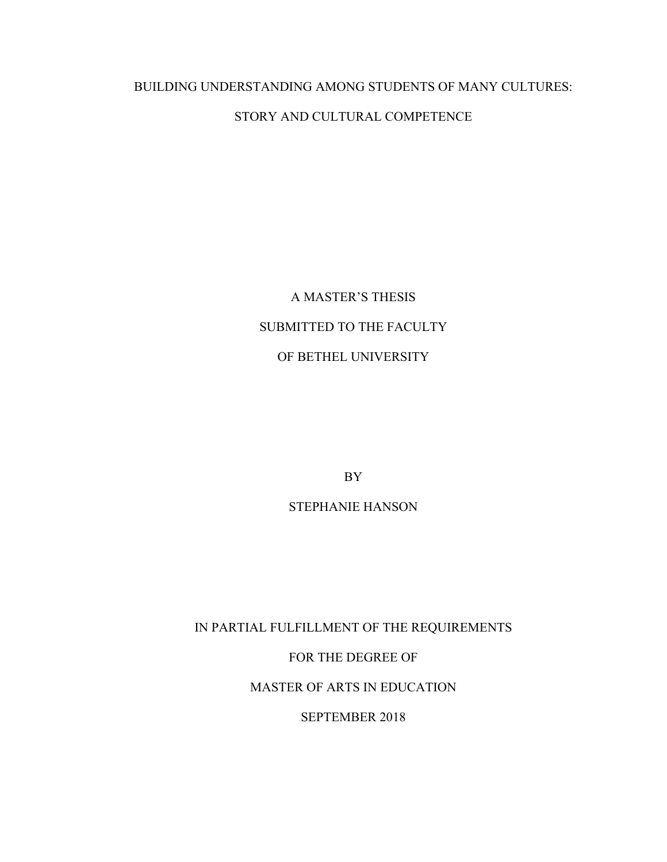# BUILDING UNDERSTANDING AMONG STUDENTS OF MANY CULTURES:

## STORY AND CULTURAL COMPETENCE

## A MASTER'S THESIS SUBMITTED TO THE FACULTY OF BETHEL UNIVERSITY

BY

STEPHANIE HANSON

IN PARTIAL FULFILLMENT OF THE REQUIREMENTS

FOR THE DEGREE OF

MASTER OF ARTS IN EDUCATION

SEPTEMBER 2018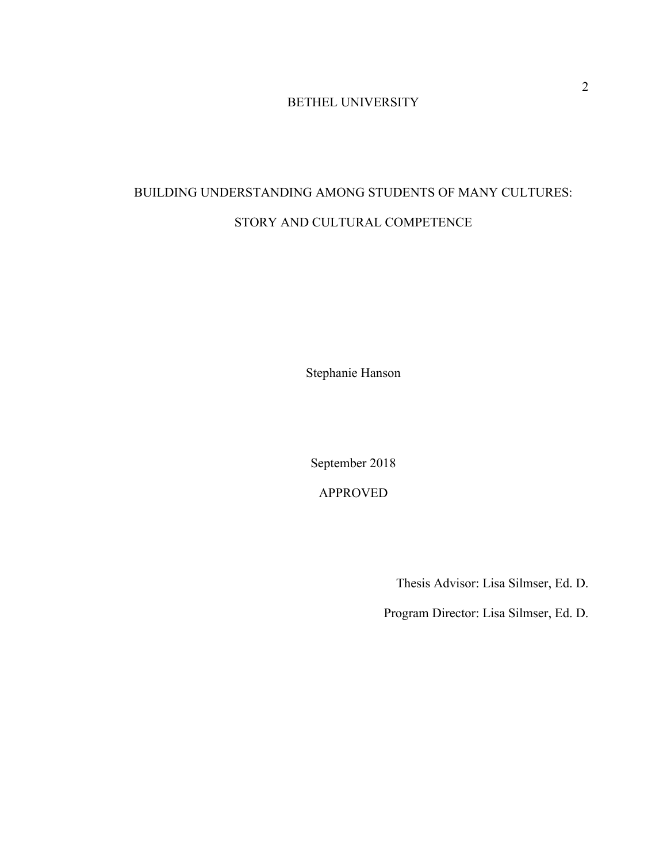#### BETHEL UNIVERSITY

## BUILDING UNDERSTANDING AMONG STUDENTS OF MANY CULTURES: STORY AND CULTURAL COMPETENCE

Stephanie Hanson

September 2018

APPROVED

Thesis Advisor: Lisa Silmser, Ed. D.

Program Director: Lisa Silmser, Ed. D.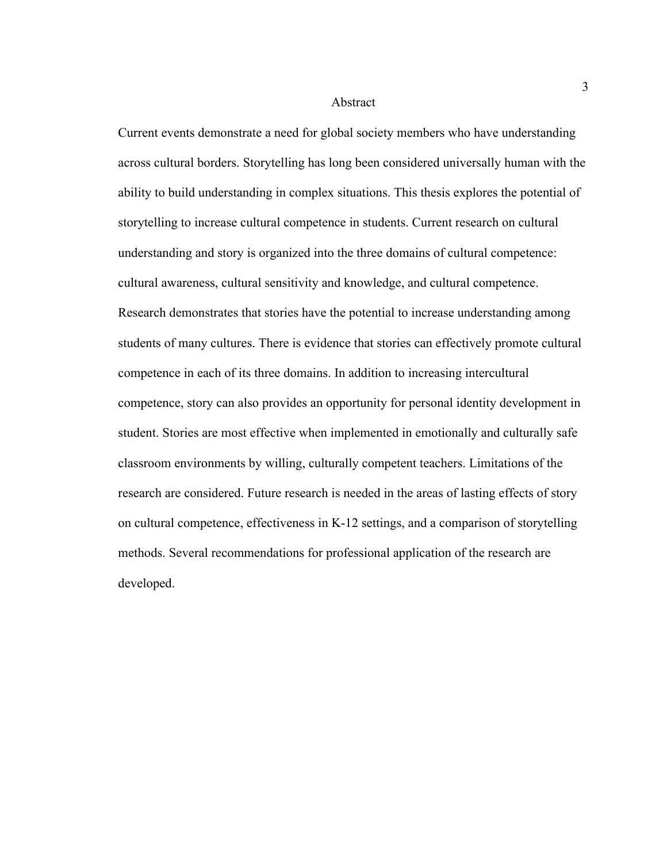#### Abstract

Current events demonstrate a need for global society members who have understanding across cultural borders. Storytelling has long been considered universally human with the ability to build understanding in complex situations. This thesis explores the potential of storytelling to increase cultural competence in students. Current research on cultural understanding and story is organized into the three domains of cultural competence: cultural awareness, cultural sensitivity and knowledge, and cultural competence. Research demonstrates that stories have the potential to increase understanding among students of many cultures. There is evidence that stories can effectively promote cultural competence in each of its three domains. In addition to increasing intercultural competence, story can also provides an opportunity for personal identity development in student. Stories are most effective when implemented in emotionally and culturally safe classroom environments by willing, culturally competent teachers. Limitations of the research are considered. Future research is needed in the areas of lasting effects of story on cultural competence, effectiveness in K-12 settings, and a comparison of storytelling methods. Several recommendations for professional application of the research are developed.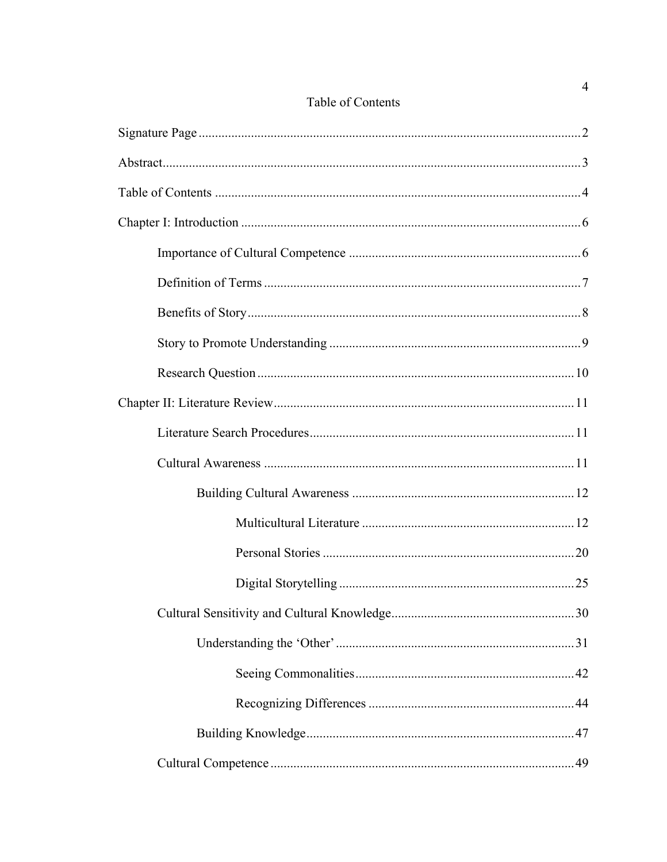### Table of Contents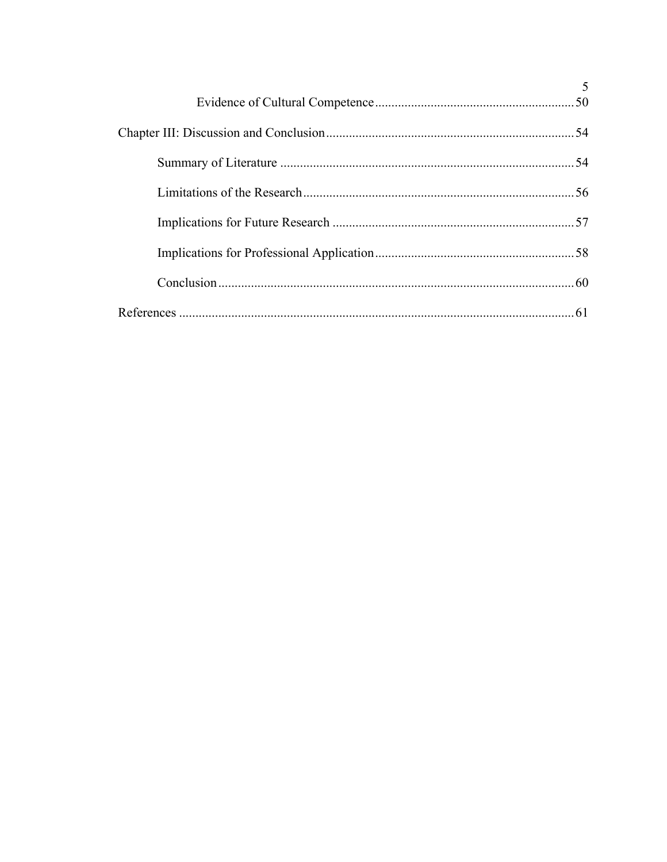| 5 |
|---|
|   |
|   |
|   |
|   |
|   |
|   |
|   |
|   |
|   |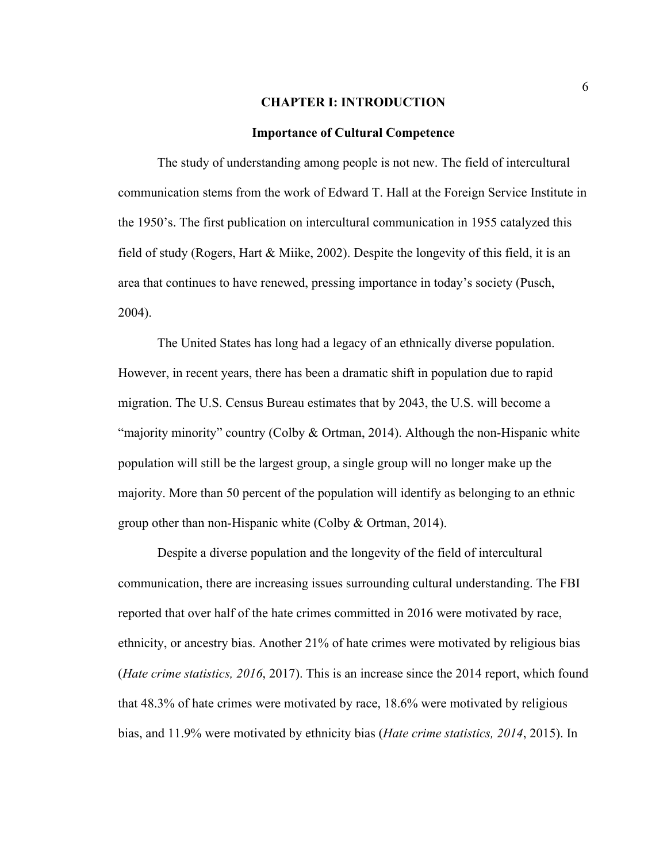#### **CHAPTER I: INTRODUCTION**

#### **Importance of Cultural Competence**

The study of understanding among people is not new. The field of intercultural communication stems from the work of Edward T. Hall at the Foreign Service Institute in the 1950's. The first publication on intercultural communication in 1955 catalyzed this field of study (Rogers, Hart & Miike, 2002). Despite the longevity of this field, it is an area that continues to have renewed, pressing importance in today's society (Pusch, 2004).

The United States has long had a legacy of an ethnically diverse population. However, in recent years, there has been a dramatic shift in population due to rapid migration. The U.S. Census Bureau estimates that by 2043, the U.S. will become a "majority minority" country (Colby & Ortman, 2014). Although the non-Hispanic white population will still be the largest group, a single group will no longer make up the majority. More than 50 percent of the population will identify as belonging to an ethnic group other than non-Hispanic white (Colby & Ortman, 2014).

Despite a diverse population and the longevity of the field of intercultural communication, there are increasing issues surrounding cultural understanding. The FBI reported that over half of the hate crimes committed in 2016 were motivated by race, ethnicity, or ancestry bias. Another 21% of hate crimes were motivated by religious bias (*Hate crime statistics, 2016*, 2017). This is an increase since the 2014 report, which found that 48.3% of hate crimes were motivated by race, 18.6% were motivated by religious bias, and 11.9% were motivated by ethnicity bias (*Hate crime statistics, 2014*, 2015). In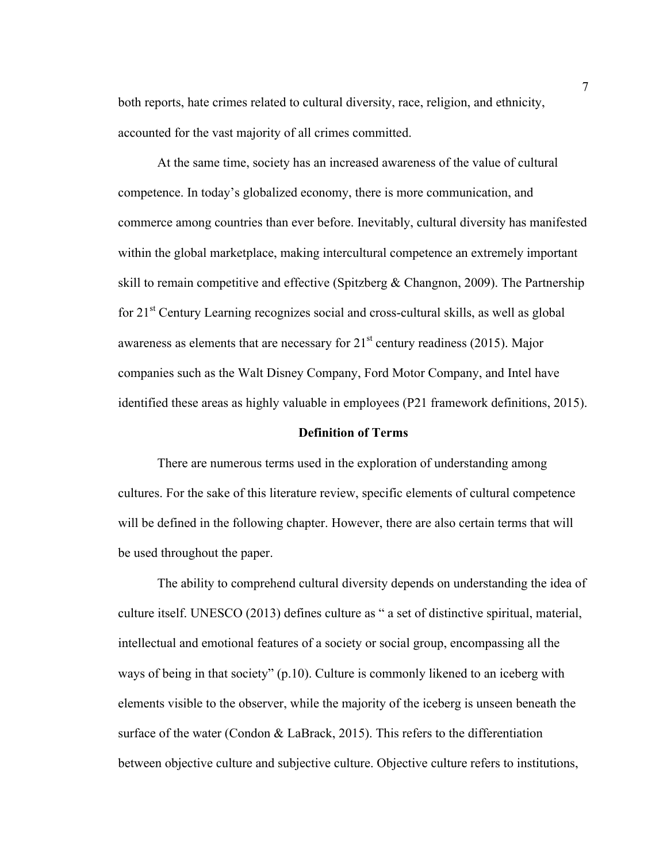both reports, hate crimes related to cultural diversity, race, religion, and ethnicity, accounted for the vast majority of all crimes committed.

At the same time, society has an increased awareness of the value of cultural competence. In today's globalized economy, there is more communication, and commerce among countries than ever before. Inevitably, cultural diversity has manifested within the global marketplace, making intercultural competence an extremely important skill to remain competitive and effective (Spitzberg & Changnon, 2009). The Partnership for  $21<sup>st</sup>$  Century Learning recognizes social and cross-cultural skills, as well as global awareness as elements that are necessary for  $21<sup>st</sup>$  century readiness (2015). Major companies such as the Walt Disney Company, Ford Motor Company, and Intel have identified these areas as highly valuable in employees (P21 framework definitions, 2015).

#### **Definition of Terms**

There are numerous terms used in the exploration of understanding among cultures. For the sake of this literature review, specific elements of cultural competence will be defined in the following chapter. However, there are also certain terms that will be used throughout the paper.

The ability to comprehend cultural diversity depends on understanding the idea of culture itself. UNESCO (2013) defines culture as " a set of distinctive spiritual, material, intellectual and emotional features of a society or social group, encompassing all the ways of being in that society" (p.10). Culture is commonly likened to an iceberg with elements visible to the observer, while the majority of the iceberg is unseen beneath the surface of the water (Condon & LaBrack, 2015). This refers to the differentiation between objective culture and subjective culture. Objective culture refers to institutions,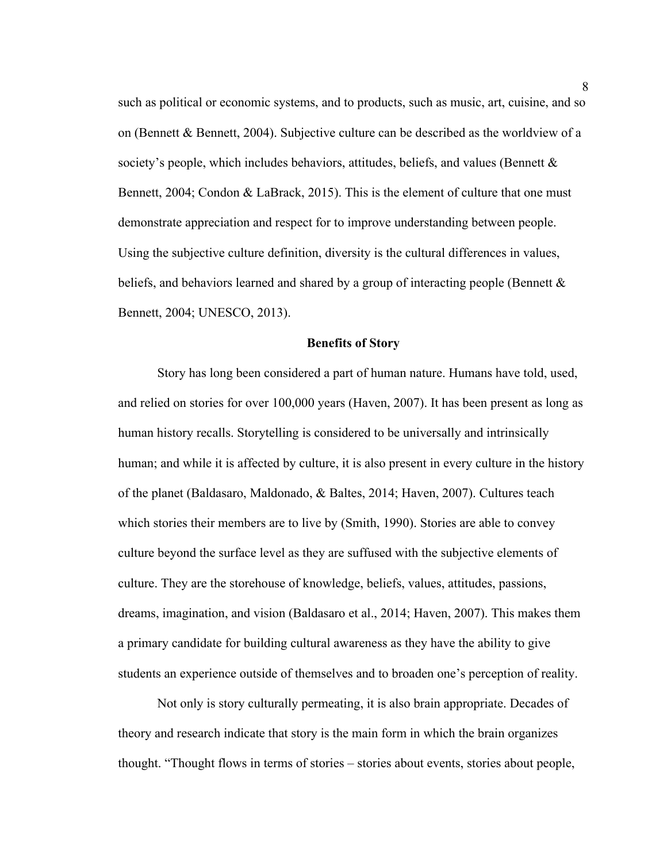such as political or economic systems, and to products, such as music, art, cuisine, and so on (Bennett & Bennett, 2004). Subjective culture can be described as the worldview of a society's people, which includes behaviors, attitudes, beliefs, and values (Bennett & Bennett, 2004; Condon & LaBrack, 2015). This is the element of culture that one must demonstrate appreciation and respect for to improve understanding between people. Using the subjective culture definition, diversity is the cultural differences in values, beliefs, and behaviors learned and shared by a group of interacting people (Bennett  $\&$ Bennett, 2004; UNESCO, 2013).

#### **Benefits of Story**

Story has long been considered a part of human nature. Humans have told, used, and relied on stories for over 100,000 years (Haven, 2007). It has been present as long as human history recalls. Storytelling is considered to be universally and intrinsically human; and while it is affected by culture, it is also present in every culture in the history of the planet (Baldasaro, Maldonado, & Baltes, 2014; Haven, 2007). Cultures teach which stories their members are to live by (Smith, 1990). Stories are able to convey culture beyond the surface level as they are suffused with the subjective elements of culture. They are the storehouse of knowledge, beliefs, values, attitudes, passions, dreams, imagination, and vision (Baldasaro et al., 2014; Haven, 2007). This makes them a primary candidate for building cultural awareness as they have the ability to give students an experience outside of themselves and to broaden one's perception of reality.

Not only is story culturally permeating, it is also brain appropriate. Decades of theory and research indicate that story is the main form in which the brain organizes thought. "Thought flows in terms of stories – stories about events, stories about people,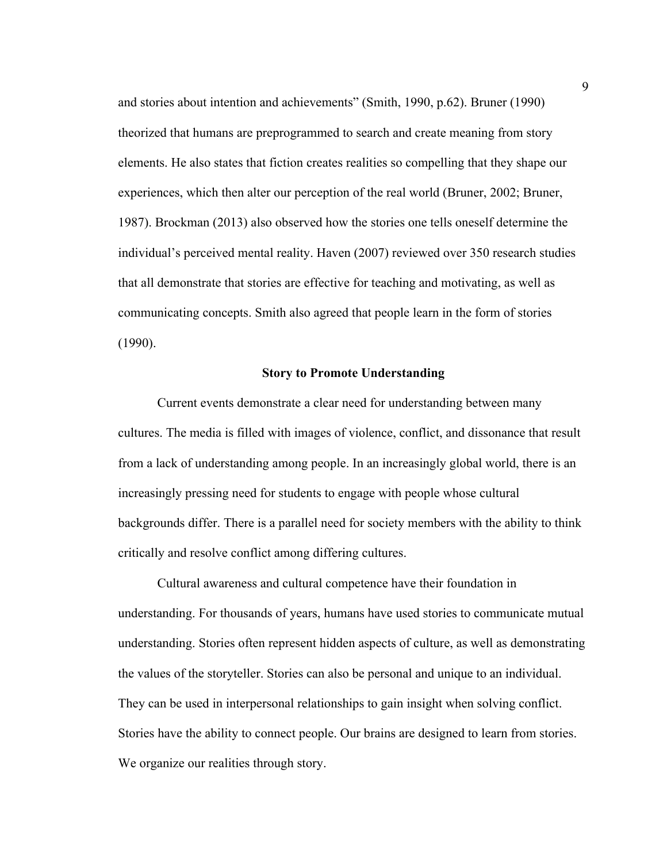and stories about intention and achievements" (Smith, 1990, p.62). Bruner (1990) theorized that humans are preprogrammed to search and create meaning from story elements. He also states that fiction creates realities so compelling that they shape our experiences, which then alter our perception of the real world (Bruner, 2002; Bruner, 1987). Brockman (2013) also observed how the stories one tells oneself determine the individual's perceived mental reality. Haven (2007) reviewed over 350 research studies that all demonstrate that stories are effective for teaching and motivating, as well as communicating concepts. Smith also agreed that people learn in the form of stories (1990).

#### **Story to Promote Understanding**

Current events demonstrate a clear need for understanding between many cultures. The media is filled with images of violence, conflict, and dissonance that result from a lack of understanding among people. In an increasingly global world, there is an increasingly pressing need for students to engage with people whose cultural backgrounds differ. There is a parallel need for society members with the ability to think critically and resolve conflict among differing cultures.

Cultural awareness and cultural competence have their foundation in understanding. For thousands of years, humans have used stories to communicate mutual understanding. Stories often represent hidden aspects of culture, as well as demonstrating the values of the storyteller. Stories can also be personal and unique to an individual. They can be used in interpersonal relationships to gain insight when solving conflict. Stories have the ability to connect people. Our brains are designed to learn from stories. We organize our realities through story.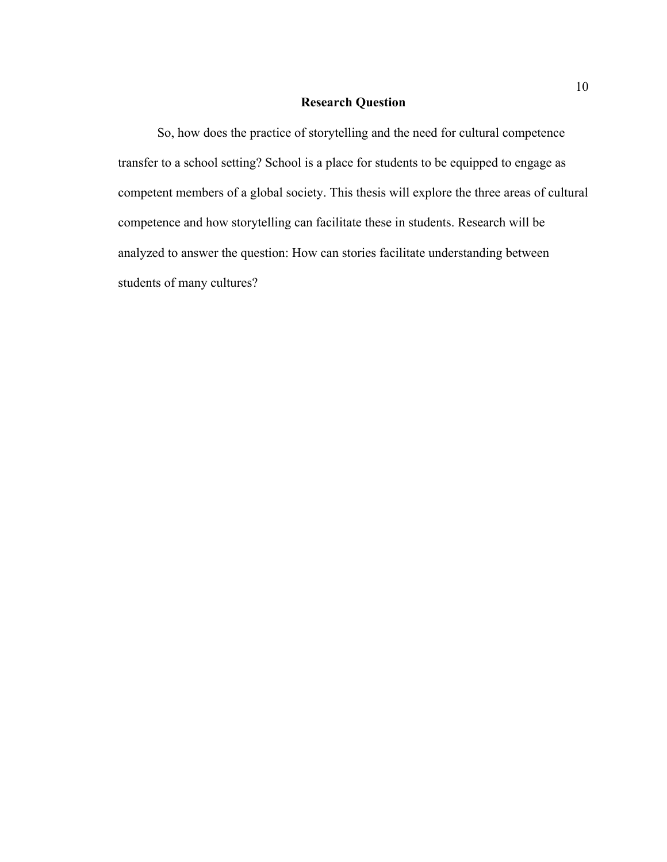#### **Research Question**

So, how does the practice of storytelling and the need for cultural competence transfer to a school setting? School is a place for students to be equipped to engage as competent members of a global society. This thesis will explore the three areas of cultural competence and how storytelling can facilitate these in students. Research will be analyzed to answer the question: How can stories facilitate understanding between students of many cultures?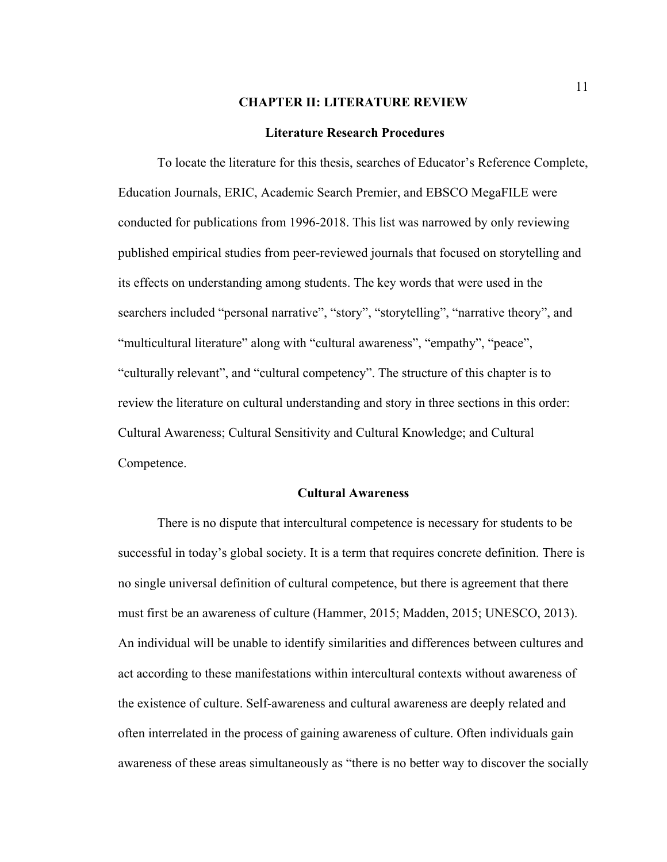#### **CHAPTER II: LITERATURE REVIEW**

#### **Literature Research Procedures**

To locate the literature for this thesis, searches of Educator's Reference Complete, Education Journals, ERIC, Academic Search Premier, and EBSCO MegaFILE were conducted for publications from 1996-2018. This list was narrowed by only reviewing published empirical studies from peer-reviewed journals that focused on storytelling and its effects on understanding among students. The key words that were used in the searchers included "personal narrative", "story", "storytelling", "narrative theory", and "multicultural literature" along with "cultural awareness", "empathy", "peace", "culturally relevant", and "cultural competency". The structure of this chapter is to review the literature on cultural understanding and story in three sections in this order: Cultural Awareness; Cultural Sensitivity and Cultural Knowledge; and Cultural Competence.

#### **Cultural Awareness**

There is no dispute that intercultural competence is necessary for students to be successful in today's global society. It is a term that requires concrete definition. There is no single universal definition of cultural competence, but there is agreement that there must first be an awareness of culture (Hammer, 2015; Madden, 2015; UNESCO, 2013). An individual will be unable to identify similarities and differences between cultures and act according to these manifestations within intercultural contexts without awareness of the existence of culture. Self-awareness and cultural awareness are deeply related and often interrelated in the process of gaining awareness of culture. Often individuals gain awareness of these areas simultaneously as "there is no better way to discover the socially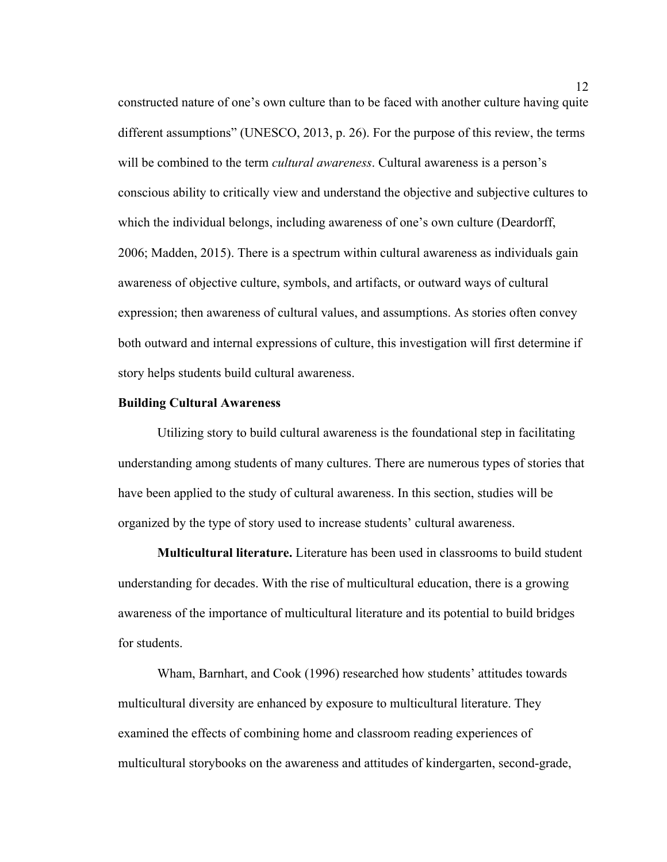constructed nature of one's own culture than to be faced with another culture having quite different assumptions" (UNESCO, 2013, p. 26). For the purpose of this review, the terms will be combined to the term *cultural awareness*. Cultural awareness is a person's conscious ability to critically view and understand the objective and subjective cultures to which the individual belongs, including awareness of one's own culture (Deardorff, 2006; Madden, 2015). There is a spectrum within cultural awareness as individuals gain awareness of objective culture, symbols, and artifacts, or outward ways of cultural expression; then awareness of cultural values, and assumptions. As stories often convey both outward and internal expressions of culture, this investigation will first determine if story helps students build cultural awareness.

#### **Building Cultural Awareness**

Utilizing story to build cultural awareness is the foundational step in facilitating understanding among students of many cultures. There are numerous types of stories that have been applied to the study of cultural awareness. In this section, studies will be organized by the type of story used to increase students' cultural awareness.

**Multicultural literature.** Literature has been used in classrooms to build student understanding for decades. With the rise of multicultural education, there is a growing awareness of the importance of multicultural literature and its potential to build bridges for students.

Wham, Barnhart, and Cook (1996) researched how students' attitudes towards multicultural diversity are enhanced by exposure to multicultural literature. They examined the effects of combining home and classroom reading experiences of multicultural storybooks on the awareness and attitudes of kindergarten, second-grade,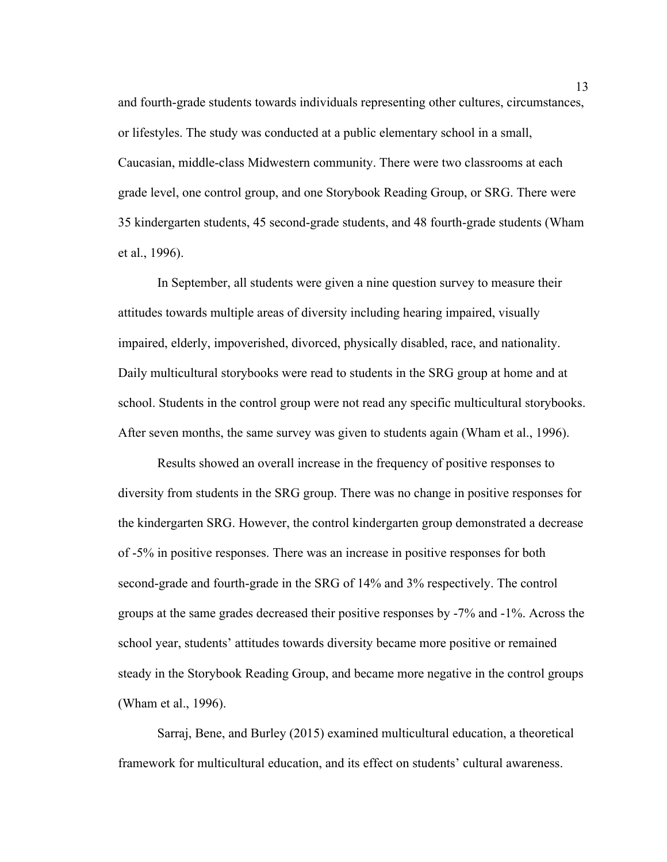and fourth-grade students towards individuals representing other cultures, circumstances, or lifestyles. The study was conducted at a public elementary school in a small, Caucasian, middle-class Midwestern community. There were two classrooms at each grade level, one control group, and one Storybook Reading Group, or SRG. There were 35 kindergarten students, 45 second-grade students, and 48 fourth-grade students (Wham et al., 1996).

In September, all students were given a nine question survey to measure their attitudes towards multiple areas of diversity including hearing impaired, visually impaired, elderly, impoverished, divorced, physically disabled, race, and nationality. Daily multicultural storybooks were read to students in the SRG group at home and at school. Students in the control group were not read any specific multicultural storybooks. After seven months, the same survey was given to students again (Wham et al., 1996).

Results showed an overall increase in the frequency of positive responses to diversity from students in the SRG group. There was no change in positive responses for the kindergarten SRG. However, the control kindergarten group demonstrated a decrease of -5% in positive responses. There was an increase in positive responses for both second-grade and fourth-grade in the SRG of 14% and 3% respectively. The control groups at the same grades decreased their positive responses by -7% and -1%. Across the school year, students' attitudes towards diversity became more positive or remained steady in the Storybook Reading Group, and became more negative in the control groups (Wham et al., 1996).

Sarraj, Bene, and Burley (2015) examined multicultural education, a theoretical framework for multicultural education, and its effect on students' cultural awareness.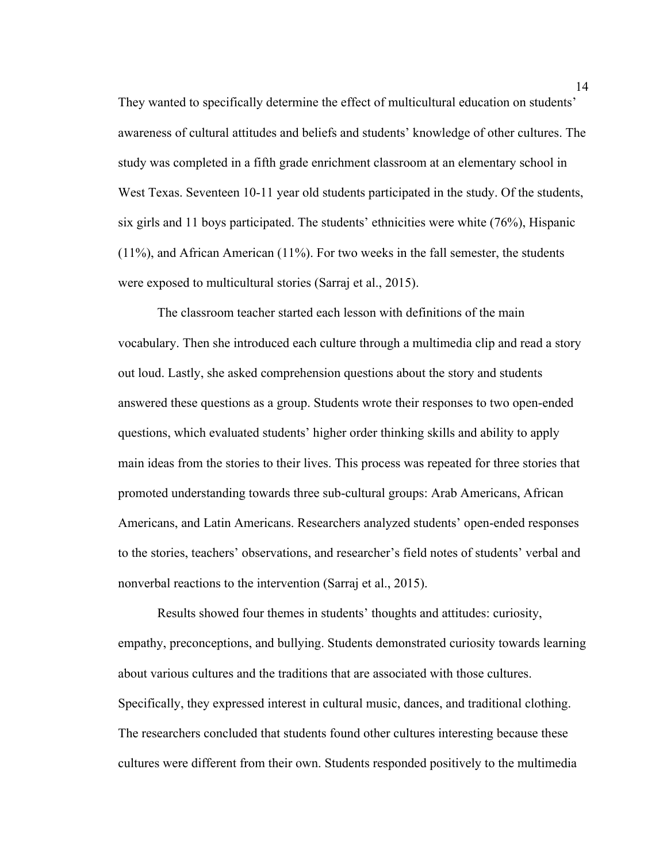They wanted to specifically determine the effect of multicultural education on students' awareness of cultural attitudes and beliefs and students' knowledge of other cultures. The study was completed in a fifth grade enrichment classroom at an elementary school in West Texas. Seventeen 10-11 year old students participated in the study. Of the students, six girls and 11 boys participated. The students' ethnicities were white (76%), Hispanic (11%), and African American (11%). For two weeks in the fall semester, the students were exposed to multicultural stories (Sarraj et al., 2015).

The classroom teacher started each lesson with definitions of the main vocabulary. Then she introduced each culture through a multimedia clip and read a story out loud. Lastly, she asked comprehension questions about the story and students answered these questions as a group. Students wrote their responses to two open-ended questions, which evaluated students' higher order thinking skills and ability to apply main ideas from the stories to their lives. This process was repeated for three stories that promoted understanding towards three sub-cultural groups: Arab Americans, African Americans, and Latin Americans. Researchers analyzed students' open-ended responses to the stories, teachers' observations, and researcher's field notes of students' verbal and nonverbal reactions to the intervention (Sarraj et al., 2015).

Results showed four themes in students' thoughts and attitudes: curiosity, empathy, preconceptions, and bullying. Students demonstrated curiosity towards learning about various cultures and the traditions that are associated with those cultures. Specifically, they expressed interest in cultural music, dances, and traditional clothing. The researchers concluded that students found other cultures interesting because these cultures were different from their own. Students responded positively to the multimedia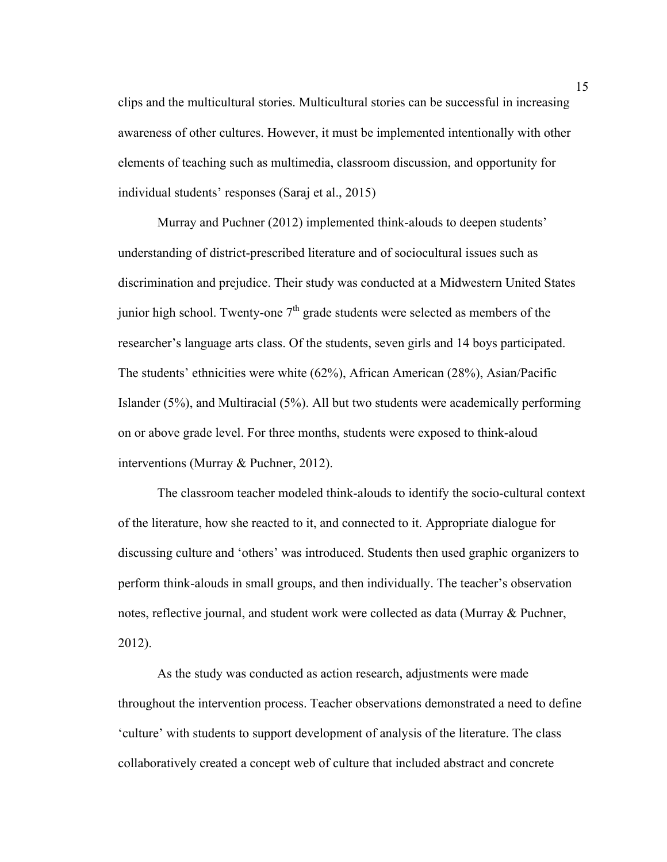clips and the multicultural stories. Multicultural stories can be successful in increasing awareness of other cultures. However, it must be implemented intentionally with other elements of teaching such as multimedia, classroom discussion, and opportunity for individual students' responses (Saraj et al., 2015)

Murray and Puchner (2012) implemented think-alouds to deepen students' understanding of district-prescribed literature and of sociocultural issues such as discrimination and prejudice. Their study was conducted at a Midwestern United States junior high school. Twenty-one  $7<sup>th</sup>$  grade students were selected as members of the researcher's language arts class. Of the students, seven girls and 14 boys participated. The students' ethnicities were white (62%), African American (28%), Asian/Pacific Islander (5%), and Multiracial (5%). All but two students were academically performing on or above grade level. For three months, students were exposed to think-aloud interventions (Murray & Puchner, 2012).

The classroom teacher modeled think-alouds to identify the socio-cultural context of the literature, how she reacted to it, and connected to it. Appropriate dialogue for discussing culture and 'others' was introduced. Students then used graphic organizers to perform think-alouds in small groups, and then individually. The teacher's observation notes, reflective journal, and student work were collected as data (Murray & Puchner, 2012).

As the study was conducted as action research, adjustments were made throughout the intervention process. Teacher observations demonstrated a need to define 'culture' with students to support development of analysis of the literature. The class collaboratively created a concept web of culture that included abstract and concrete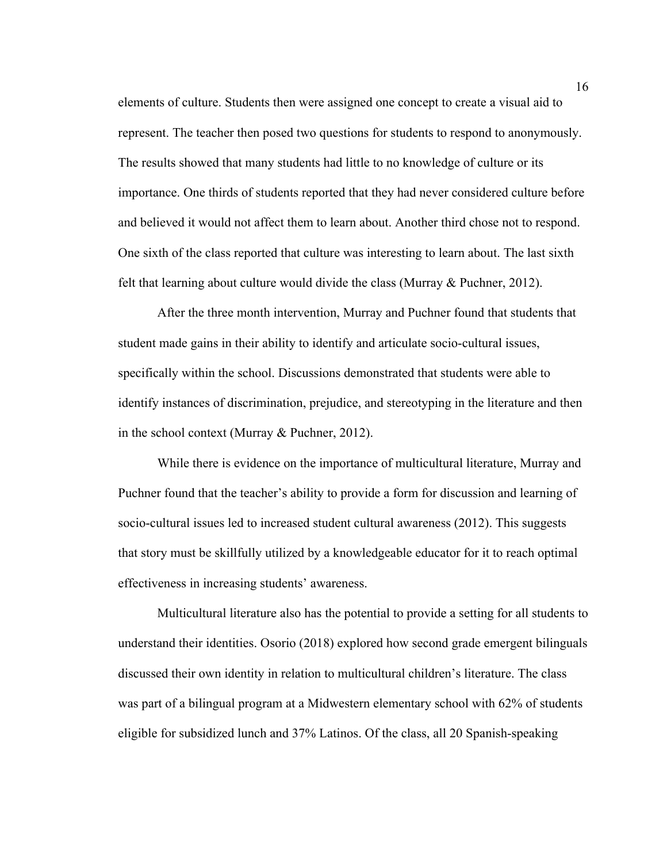elements of culture. Students then were assigned one concept to create a visual aid to represent. The teacher then posed two questions for students to respond to anonymously. The results showed that many students had little to no knowledge of culture or its importance. One thirds of students reported that they had never considered culture before and believed it would not affect them to learn about. Another third chose not to respond. One sixth of the class reported that culture was interesting to learn about. The last sixth felt that learning about culture would divide the class (Murray & Puchner, 2012).

After the three month intervention, Murray and Puchner found that students that student made gains in their ability to identify and articulate socio-cultural issues, specifically within the school. Discussions demonstrated that students were able to identify instances of discrimination, prejudice, and stereotyping in the literature and then in the school context (Murray & Puchner, 2012).

While there is evidence on the importance of multicultural literature, Murray and Puchner found that the teacher's ability to provide a form for discussion and learning of socio-cultural issues led to increased student cultural awareness (2012). This suggests that story must be skillfully utilized by a knowledgeable educator for it to reach optimal effectiveness in increasing students' awareness.

Multicultural literature also has the potential to provide a setting for all students to understand their identities. Osorio (2018) explored how second grade emergent bilinguals discussed their own identity in relation to multicultural children's literature. The class was part of a bilingual program at a Midwestern elementary school with 62% of students eligible for subsidized lunch and 37% Latinos. Of the class, all 20 Spanish-speaking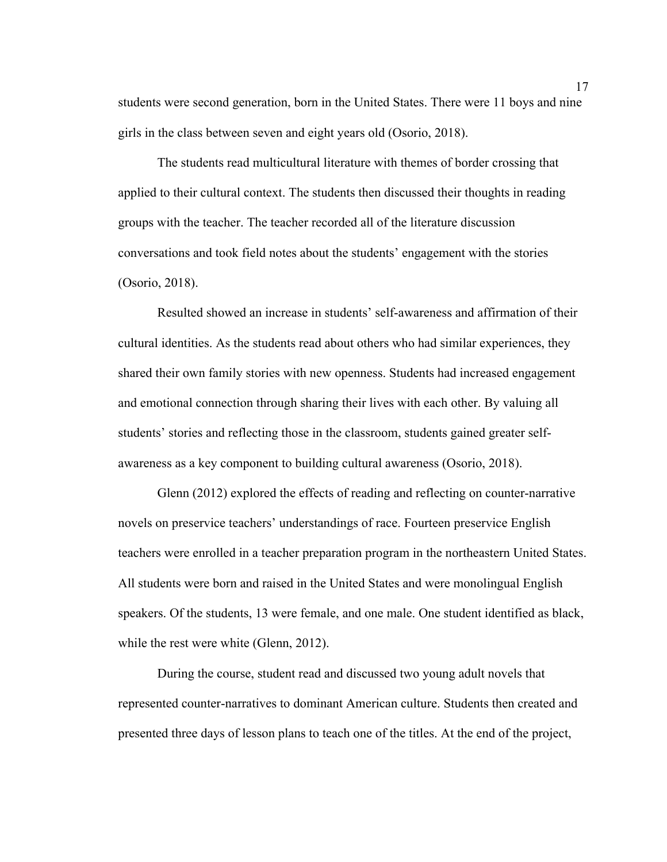students were second generation, born in the United States. There were 11 boys and nine girls in the class between seven and eight years old (Osorio, 2018).

The students read multicultural literature with themes of border crossing that applied to their cultural context. The students then discussed their thoughts in reading groups with the teacher. The teacher recorded all of the literature discussion conversations and took field notes about the students' engagement with the stories (Osorio, 2018).

Resulted showed an increase in students' self-awareness and affirmation of their cultural identities. As the students read about others who had similar experiences, they shared their own family stories with new openness. Students had increased engagement and emotional connection through sharing their lives with each other. By valuing all students' stories and reflecting those in the classroom, students gained greater selfawareness as a key component to building cultural awareness (Osorio, 2018).

Glenn (2012) explored the effects of reading and reflecting on counter-narrative novels on preservice teachers' understandings of race. Fourteen preservice English teachers were enrolled in a teacher preparation program in the northeastern United States. All students were born and raised in the United States and were monolingual English speakers. Of the students, 13 were female, and one male. One student identified as black, while the rest were white (Glenn, 2012).

During the course, student read and discussed two young adult novels that represented counter-narratives to dominant American culture. Students then created and presented three days of lesson plans to teach one of the titles. At the end of the project,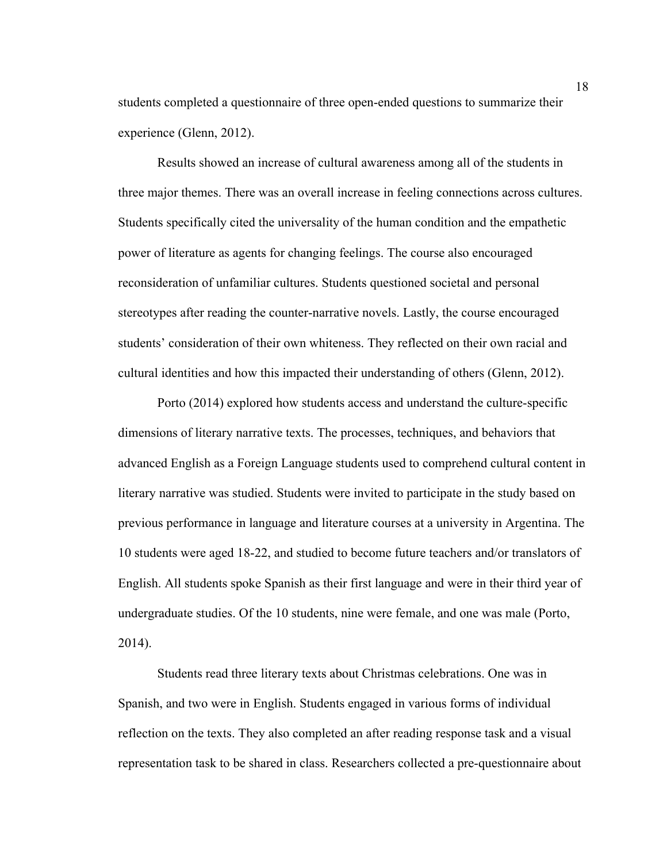students completed a questionnaire of three open-ended questions to summarize their experience (Glenn, 2012).

Results showed an increase of cultural awareness among all of the students in three major themes. There was an overall increase in feeling connections across cultures. Students specifically cited the universality of the human condition and the empathetic power of literature as agents for changing feelings. The course also encouraged reconsideration of unfamiliar cultures. Students questioned societal and personal stereotypes after reading the counter-narrative novels. Lastly, the course encouraged students' consideration of their own whiteness. They reflected on their own racial and cultural identities and how this impacted their understanding of others (Glenn, 2012).

Porto (2014) explored how students access and understand the culture-specific dimensions of literary narrative texts. The processes, techniques, and behaviors that advanced English as a Foreign Language students used to comprehend cultural content in literary narrative was studied. Students were invited to participate in the study based on previous performance in language and literature courses at a university in Argentina. The 10 students were aged 18-22, and studied to become future teachers and/or translators of English. All students spoke Spanish as their first language and were in their third year of undergraduate studies. Of the 10 students, nine were female, and one was male (Porto, 2014).

Students read three literary texts about Christmas celebrations. One was in Spanish, and two were in English. Students engaged in various forms of individual reflection on the texts. They also completed an after reading response task and a visual representation task to be shared in class. Researchers collected a pre-questionnaire about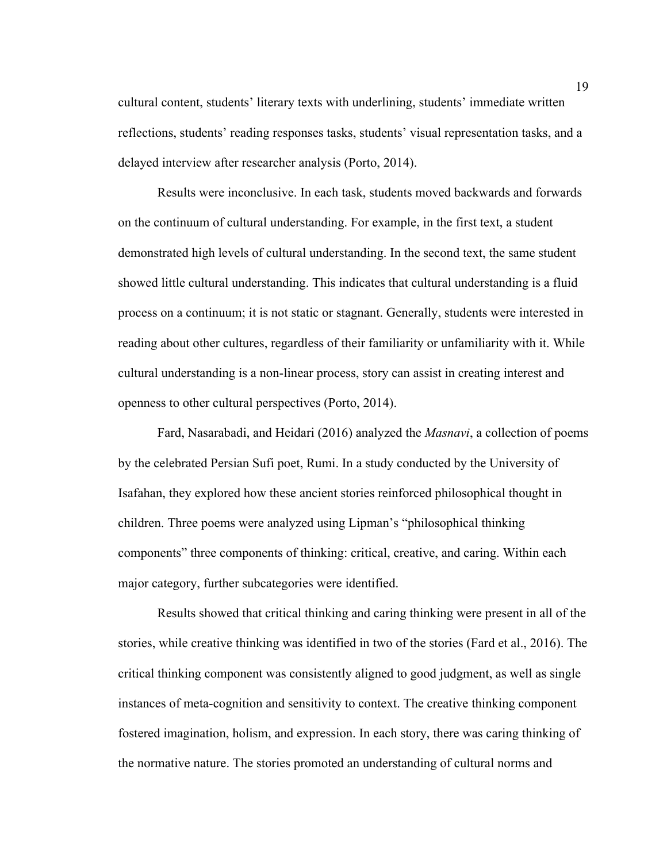cultural content, students' literary texts with underlining, students' immediate written reflections, students' reading responses tasks, students' visual representation tasks, and a delayed interview after researcher analysis (Porto, 2014).

Results were inconclusive. In each task, students moved backwards and forwards on the continuum of cultural understanding. For example, in the first text, a student demonstrated high levels of cultural understanding. In the second text, the same student showed little cultural understanding. This indicates that cultural understanding is a fluid process on a continuum; it is not static or stagnant. Generally, students were interested in reading about other cultures, regardless of their familiarity or unfamiliarity with it. While cultural understanding is a non-linear process, story can assist in creating interest and openness to other cultural perspectives (Porto, 2014).

Fard, Nasarabadi, and Heidari (2016) analyzed the *Masnavi*, a collection of poems by the celebrated Persian Sufi poet, Rumi. In a study conducted by the University of Isafahan, they explored how these ancient stories reinforced philosophical thought in children. Three poems were analyzed using Lipman's "philosophical thinking components" three components of thinking: critical, creative, and caring. Within each major category, further subcategories were identified.

Results showed that critical thinking and caring thinking were present in all of the stories, while creative thinking was identified in two of the stories (Fard et al., 2016). The critical thinking component was consistently aligned to good judgment, as well as single instances of meta-cognition and sensitivity to context. The creative thinking component fostered imagination, holism, and expression. In each story, there was caring thinking of the normative nature. The stories promoted an understanding of cultural norms and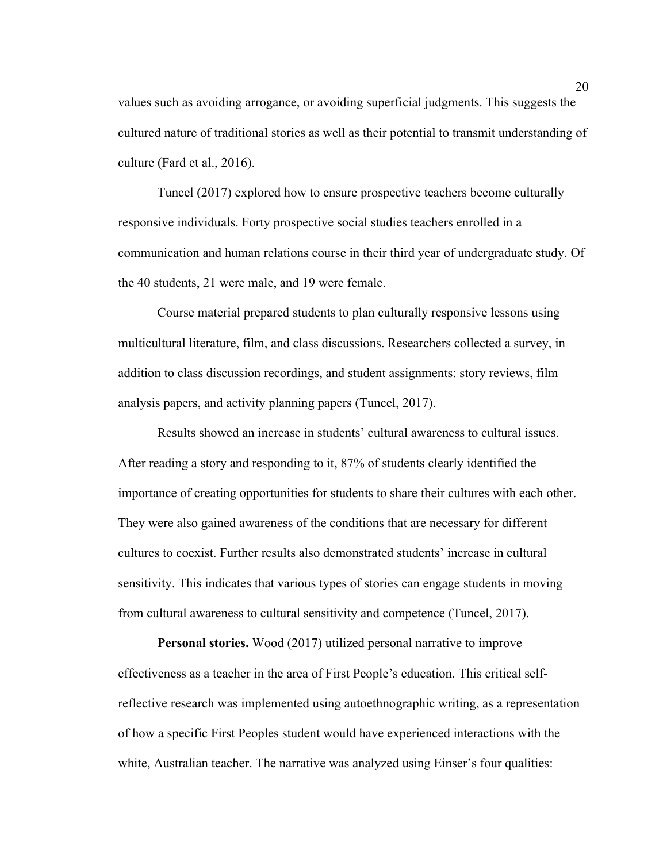values such as avoiding arrogance, or avoiding superficial judgments. This suggests the cultured nature of traditional stories as well as their potential to transmit understanding of culture (Fard et al., 2016).

Tuncel (2017) explored how to ensure prospective teachers become culturally responsive individuals. Forty prospective social studies teachers enrolled in a communication and human relations course in their third year of undergraduate study. Of the 40 students, 21 were male, and 19 were female.

Course material prepared students to plan culturally responsive lessons using multicultural literature, film, and class discussions. Researchers collected a survey, in addition to class discussion recordings, and student assignments: story reviews, film analysis papers, and activity planning papers (Tuncel, 2017).

Results showed an increase in students' cultural awareness to cultural issues. After reading a story and responding to it, 87% of students clearly identified the importance of creating opportunities for students to share their cultures with each other. They were also gained awareness of the conditions that are necessary for different cultures to coexist. Further results also demonstrated students' increase in cultural sensitivity. This indicates that various types of stories can engage students in moving from cultural awareness to cultural sensitivity and competence (Tuncel, 2017).

**Personal stories.** Wood (2017) utilized personal narrative to improve effectiveness as a teacher in the area of First People's education. This critical selfreflective research was implemented using autoethnographic writing, as a representation of how a specific First Peoples student would have experienced interactions with the white, Australian teacher. The narrative was analyzed using Einser's four qualities: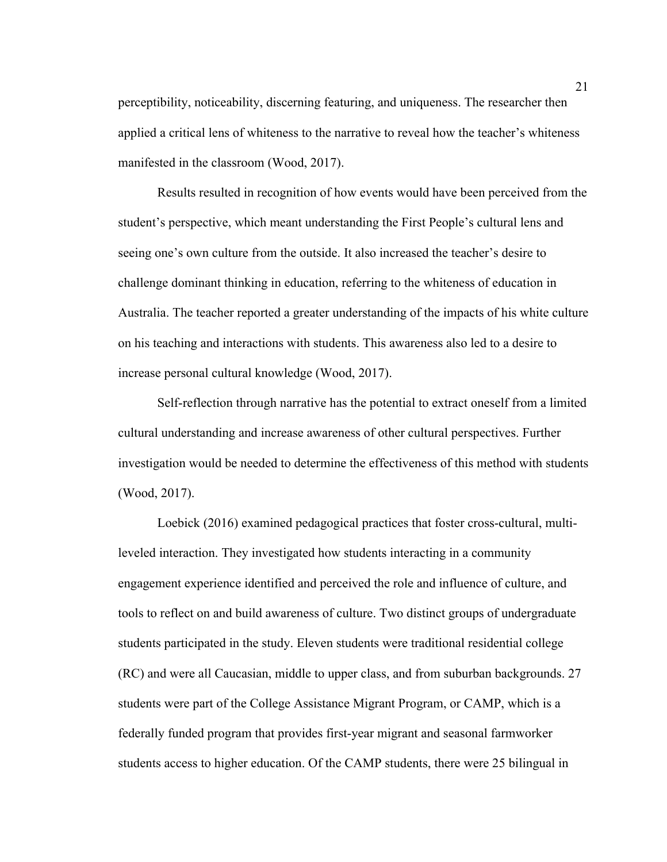perceptibility, noticeability, discerning featuring, and uniqueness. The researcher then applied a critical lens of whiteness to the narrative to reveal how the teacher's whiteness manifested in the classroom (Wood, 2017).

Results resulted in recognition of how events would have been perceived from the student's perspective, which meant understanding the First People's cultural lens and seeing one's own culture from the outside. It also increased the teacher's desire to challenge dominant thinking in education, referring to the whiteness of education in Australia. The teacher reported a greater understanding of the impacts of his white culture on his teaching and interactions with students. This awareness also led to a desire to increase personal cultural knowledge (Wood, 2017).

Self-reflection through narrative has the potential to extract oneself from a limited cultural understanding and increase awareness of other cultural perspectives. Further investigation would be needed to determine the effectiveness of this method with students (Wood, 2017).

Loebick (2016) examined pedagogical practices that foster cross-cultural, multileveled interaction. They investigated how students interacting in a community engagement experience identified and perceived the role and influence of culture, and tools to reflect on and build awareness of culture. Two distinct groups of undergraduate students participated in the study. Eleven students were traditional residential college (RC) and were all Caucasian, middle to upper class, and from suburban backgrounds. 27 students were part of the College Assistance Migrant Program, or CAMP, which is a federally funded program that provides first-year migrant and seasonal farmworker students access to higher education. Of the CAMP students, there were 25 bilingual in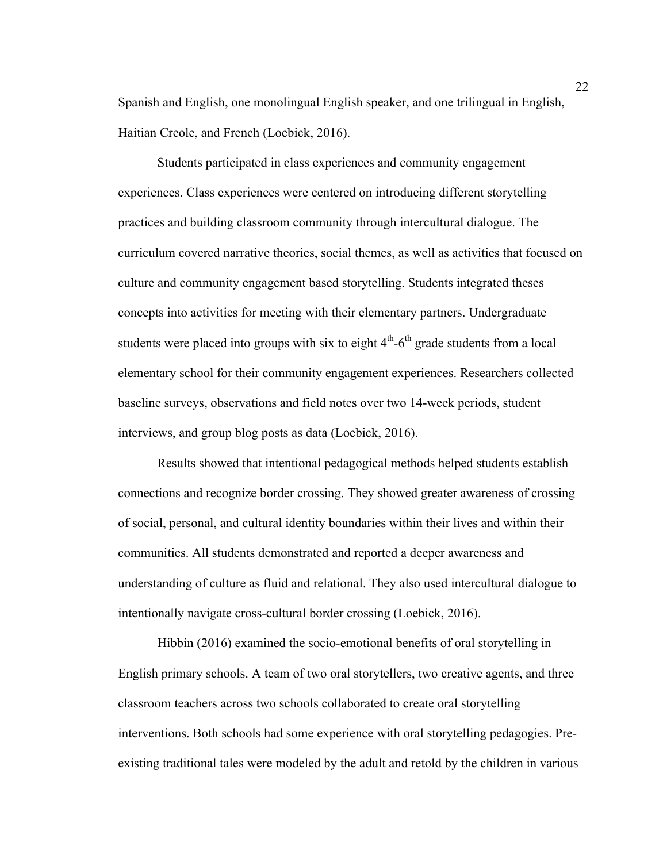Spanish and English, one monolingual English speaker, and one trilingual in English, Haitian Creole, and French (Loebick, 2016).

Students participated in class experiences and community engagement experiences. Class experiences were centered on introducing different storytelling practices and building classroom community through intercultural dialogue. The curriculum covered narrative theories, social themes, as well as activities that focused on culture and community engagement based storytelling. Students integrated theses concepts into activities for meeting with their elementary partners. Undergraduate students were placed into groups with six to eight  $4<sup>th</sup>$ -6<sup>th</sup> grade students from a local elementary school for their community engagement experiences. Researchers collected baseline surveys, observations and field notes over two 14-week periods, student interviews, and group blog posts as data (Loebick, 2016).

Results showed that intentional pedagogical methods helped students establish connections and recognize border crossing. They showed greater awareness of crossing of social, personal, and cultural identity boundaries within their lives and within their communities. All students demonstrated and reported a deeper awareness and understanding of culture as fluid and relational. They also used intercultural dialogue to intentionally navigate cross-cultural border crossing (Loebick, 2016).

Hibbin (2016) examined the socio-emotional benefits of oral storytelling in English primary schools. A team of two oral storytellers, two creative agents, and three classroom teachers across two schools collaborated to create oral storytelling interventions. Both schools had some experience with oral storytelling pedagogies. Preexisting traditional tales were modeled by the adult and retold by the children in various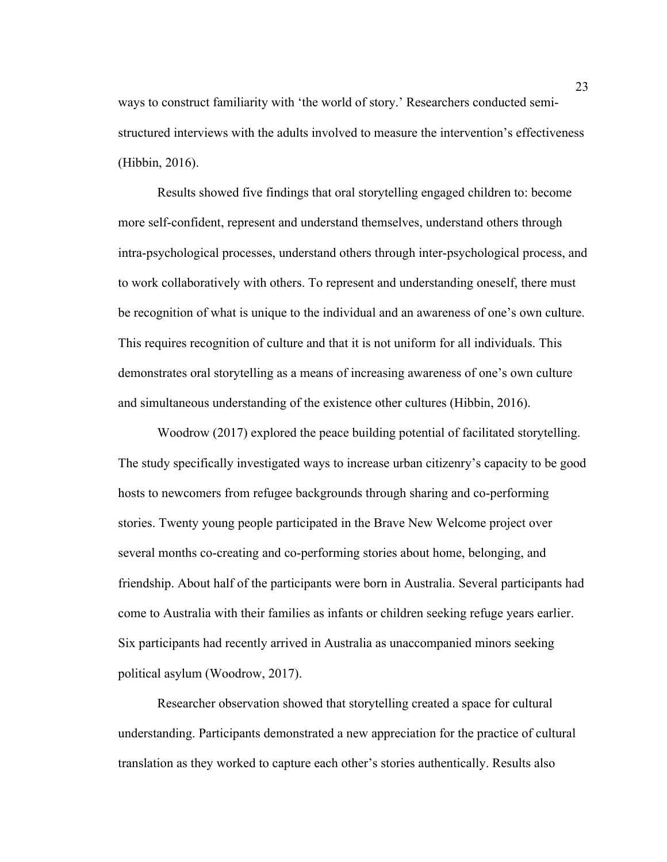ways to construct familiarity with 'the world of story.' Researchers conducted semistructured interviews with the adults involved to measure the intervention's effectiveness (Hibbin, 2016).

Results showed five findings that oral storytelling engaged children to: become more self-confident, represent and understand themselves, understand others through intra-psychological processes, understand others through inter-psychological process, and to work collaboratively with others. To represent and understanding oneself, there must be recognition of what is unique to the individual and an awareness of one's own culture. This requires recognition of culture and that it is not uniform for all individuals. This demonstrates oral storytelling as a means of increasing awareness of one's own culture and simultaneous understanding of the existence other cultures (Hibbin, 2016).

Woodrow (2017) explored the peace building potential of facilitated storytelling. The study specifically investigated ways to increase urban citizenry's capacity to be good hosts to newcomers from refugee backgrounds through sharing and co-performing stories. Twenty young people participated in the Brave New Welcome project over several months co-creating and co-performing stories about home, belonging, and friendship. About half of the participants were born in Australia. Several participants had come to Australia with their families as infants or children seeking refuge years earlier. Six participants had recently arrived in Australia as unaccompanied minors seeking political asylum (Woodrow, 2017).

Researcher observation showed that storytelling created a space for cultural understanding. Participants demonstrated a new appreciation for the practice of cultural translation as they worked to capture each other's stories authentically. Results also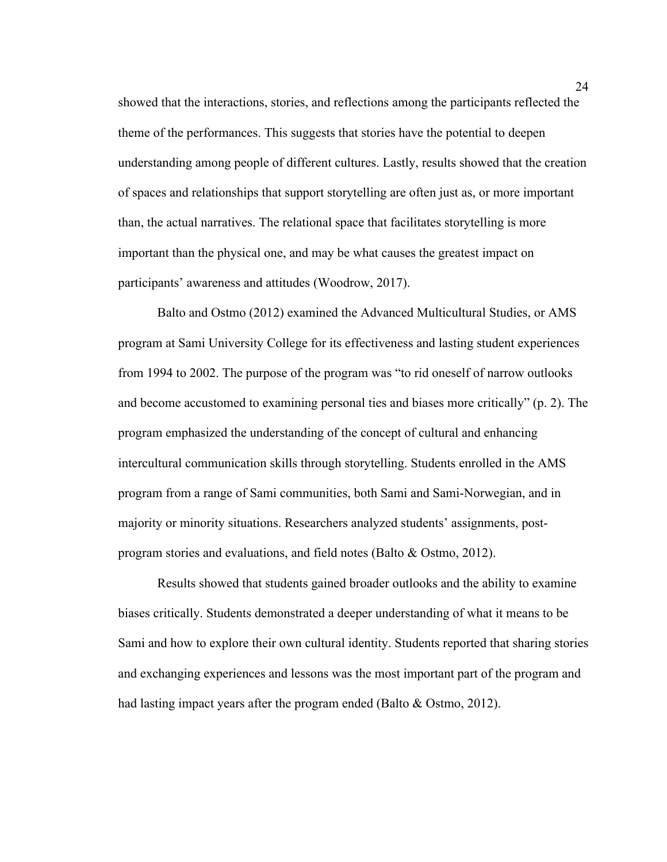showed that the interactions, stories, and reflections among the participants reflected the theme of the performances. This suggests that stories have the potential to deepen understanding among people of different cultures. Lastly, results showed that the creation of spaces and relationships that support storytelling are often just as, or more important than, the actual narratives. The relational space that facilitates storytelling is more important than the physical one, and may be what causes the greatest impact on participants' awareness and attitudes (Woodrow, 2017).

Balto and Ostmo (2012) examined the Advanced Multicultural Studies, or AMS program at Sami University College for its effectiveness and lasting student experiences from 1994 to 2002. The purpose of the program was "to rid oneself of narrow outlooks and become accustomed to examining personal ties and biases more critically" (p. 2). The program emphasized the understanding of the concept of cultural and enhancing intercultural communication skills through storytelling. Students enrolled in the AMS program from a range of Sami communities, both Sami and Sami-Norwegian, and in majority or minority situations. Researchers analyzed students' assignments, postprogram stories and evaluations, and field notes (Balto & Ostmo, 2012).

Results showed that students gained broader outlooks and the ability to examine biases critically. Students demonstrated a deeper understanding of what it means to be Sami and how to explore their own cultural identity. Students reported that sharing stories and exchanging experiences and lessons was the most important part of the program and had lasting impact years after the program ended (Balto & Ostmo, 2012).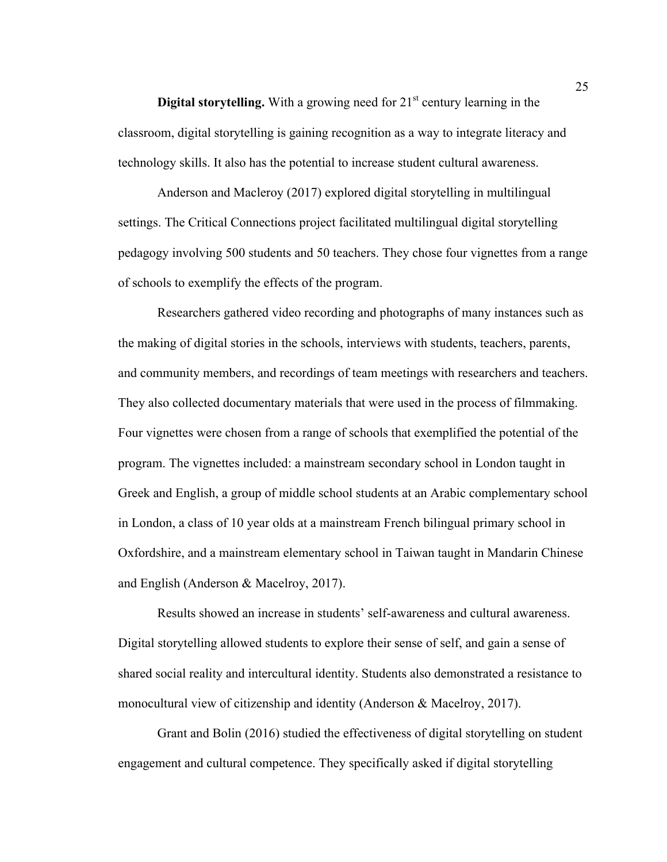**Digital storytelling.** With a growing need for  $21<sup>st</sup>$  century learning in the classroom, digital storytelling is gaining recognition as a way to integrate literacy and technology skills. It also has the potential to increase student cultural awareness.

Anderson and Macleroy (2017) explored digital storytelling in multilingual settings. The Critical Connections project facilitated multilingual digital storytelling pedagogy involving 500 students and 50 teachers. They chose four vignettes from a range of schools to exemplify the effects of the program.

Researchers gathered video recording and photographs of many instances such as the making of digital stories in the schools, interviews with students, teachers, parents, and community members, and recordings of team meetings with researchers and teachers. They also collected documentary materials that were used in the process of filmmaking. Four vignettes were chosen from a range of schools that exemplified the potential of the program. The vignettes included: a mainstream secondary school in London taught in Greek and English, a group of middle school students at an Arabic complementary school in London, a class of 10 year olds at a mainstream French bilingual primary school in Oxfordshire, and a mainstream elementary school in Taiwan taught in Mandarin Chinese and English (Anderson & Macelroy, 2017).

Results showed an increase in students' self-awareness and cultural awareness. Digital storytelling allowed students to explore their sense of self, and gain a sense of shared social reality and intercultural identity. Students also demonstrated a resistance to monocultural view of citizenship and identity (Anderson & Macelroy, 2017).

Grant and Bolin (2016) studied the effectiveness of digital storytelling on student engagement and cultural competence. They specifically asked if digital storytelling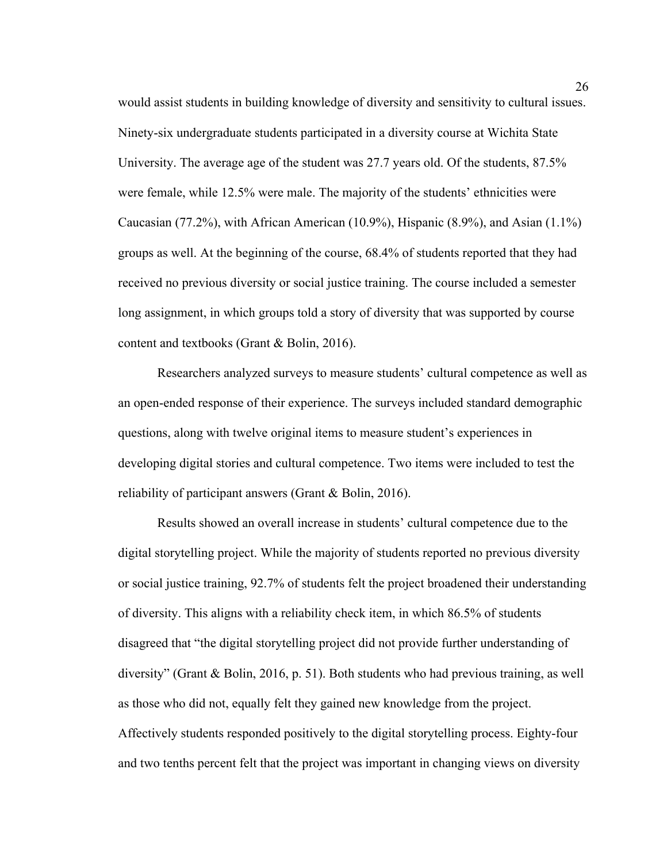would assist students in building knowledge of diversity and sensitivity to cultural issues. Ninety-six undergraduate students participated in a diversity course at Wichita State University. The average age of the student was 27.7 years old. Of the students, 87.5% were female, while 12.5% were male. The majority of the students' ethnicities were Caucasian (77.2%), with African American (10.9%), Hispanic (8.9%), and Asian (1.1%) groups as well. At the beginning of the course, 68.4% of students reported that they had received no previous diversity or social justice training. The course included a semester long assignment, in which groups told a story of diversity that was supported by course content and textbooks (Grant & Bolin, 2016).

Researchers analyzed surveys to measure students' cultural competence as well as an open-ended response of their experience. The surveys included standard demographic questions, along with twelve original items to measure student's experiences in developing digital stories and cultural competence. Two items were included to test the reliability of participant answers (Grant & Bolin, 2016).

Results showed an overall increase in students' cultural competence due to the digital storytelling project. While the majority of students reported no previous diversity or social justice training, 92.7% of students felt the project broadened their understanding of diversity. This aligns with a reliability check item, in which 86.5% of students disagreed that "the digital storytelling project did not provide further understanding of diversity" (Grant & Bolin, 2016, p. 51). Both students who had previous training, as well as those who did not, equally felt they gained new knowledge from the project. Affectively students responded positively to the digital storytelling process. Eighty-four and two tenths percent felt that the project was important in changing views on diversity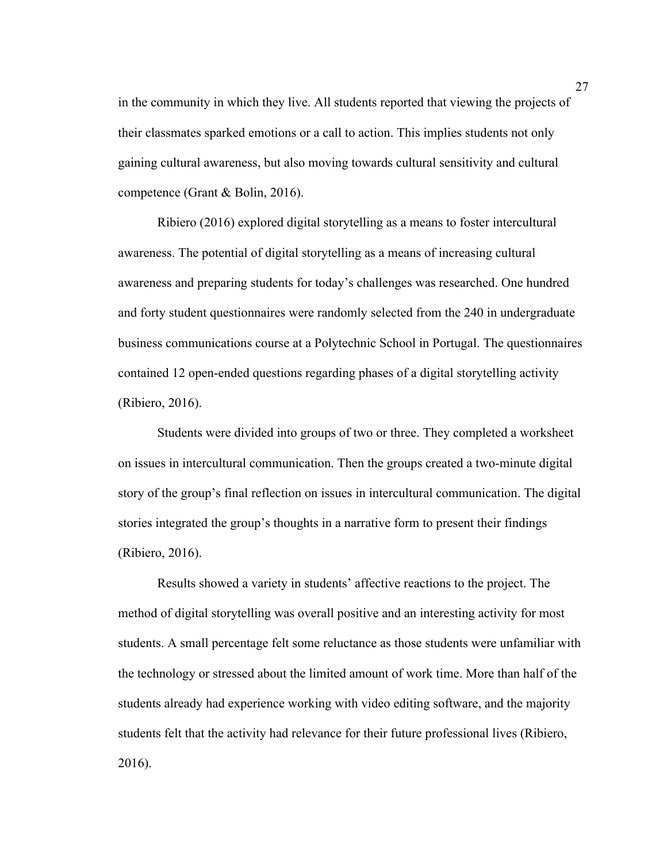in the community in which they live. All students reported that viewing the projects of their classmates sparked emotions or a call to action. This implies students not only gaining cultural awareness, but also moving towards cultural sensitivity and cultural competence (Grant & Bolin, 2016).

Ribiero (2016) explored digital storytelling as a means to foster intercultural awareness. The potential of digital storytelling as a means of increasing cultural awareness and preparing students for today's challenges was researched. One hundred and forty student questionnaires were randomly selected from the 240 in undergraduate business communications course at a Polytechnic School in Portugal. The questionnaires contained 12 open-ended questions regarding phases of a digital storytelling activity (Ribiero, 2016).

Students were divided into groups of two or three. They completed a worksheet on issues in intercultural communication. Then the groups created a two-minute digital story of the group's final reflection on issues in intercultural communication. The digital stories integrated the group's thoughts in a narrative form to present their findings (Ribiero, 2016).

Results showed a variety in students' affective reactions to the project. The method of digital storytelling was overall positive and an interesting activity for most students. A small percentage felt some reluctance as those students were unfamiliar with the technology or stressed about the limited amount of work time. More than half of the students already had experience working with video editing software, and the majority students felt that the activity had relevance for their future professional lives (Ribiero, 2016).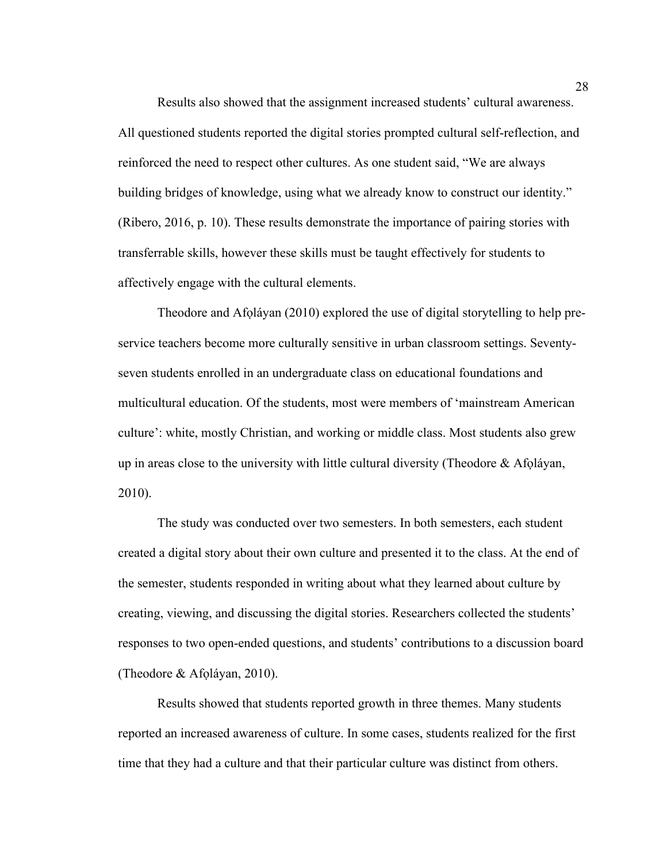Results also showed that the assignment increased students' cultural awareness. All questioned students reported the digital stories prompted cultural self-reflection, and reinforced the need to respect other cultures. As one student said, "We are always building bridges of knowledge, using what we already know to construct our identity." (Ribero, 2016, p. 10). These results demonstrate the importance of pairing stories with transferrable skills, however these skills must be taught effectively for students to affectively engage with the cultural elements.

Theodore and Afọláyan (2010) explored the use of digital storytelling to help preservice teachers become more culturally sensitive in urban classroom settings. Seventyseven students enrolled in an undergraduate class on educational foundations and multicultural education. Of the students, most were members of 'mainstream American culture': white, mostly Christian, and working or middle class. Most students also grew up in areas close to the university with little cultural diversity (Theodore & Afọláyan, 2010).

The study was conducted over two semesters. In both semesters, each student created a digital story about their own culture and presented it to the class. At the end of the semester, students responded in writing about what they learned about culture by creating, viewing, and discussing the digital stories. Researchers collected the students' responses to two open-ended questions, and students' contributions to a discussion board (Theodore & Afọláyan, 2010).

Results showed that students reported growth in three themes. Many students reported an increased awareness of culture. In some cases, students realized for the first time that they had a culture and that their particular culture was distinct from others.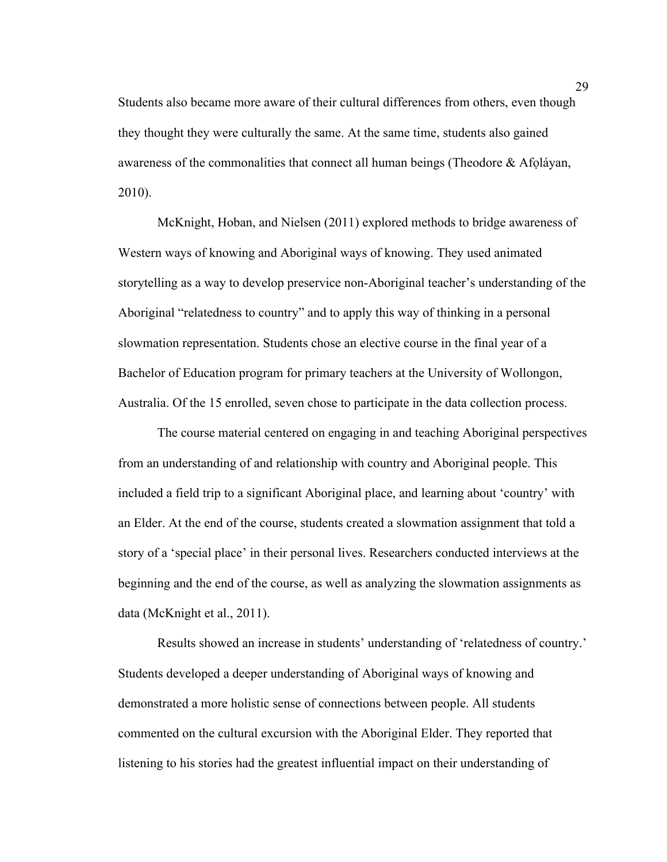Students also became more aware of their cultural differences from others, even though they thought they were culturally the same. At the same time, students also gained awareness of the commonalities that connect all human beings (Theodore  $\&$  Afoláyan, 2010).

McKnight, Hoban, and Nielsen (2011) explored methods to bridge awareness of Western ways of knowing and Aboriginal ways of knowing. They used animated storytelling as a way to develop preservice non-Aboriginal teacher's understanding of the Aboriginal "relatedness to country" and to apply this way of thinking in a personal slowmation representation. Students chose an elective course in the final year of a Bachelor of Education program for primary teachers at the University of Wollongon, Australia. Of the 15 enrolled, seven chose to participate in the data collection process.

The course material centered on engaging in and teaching Aboriginal perspectives from an understanding of and relationship with country and Aboriginal people. This included a field trip to a significant Aboriginal place, and learning about 'country' with an Elder. At the end of the course, students created a slowmation assignment that told a story of a 'special place' in their personal lives. Researchers conducted interviews at the beginning and the end of the course, as well as analyzing the slowmation assignments as data (McKnight et al., 2011).

Results showed an increase in students' understanding of 'relatedness of country.' Students developed a deeper understanding of Aboriginal ways of knowing and demonstrated a more holistic sense of connections between people. All students commented on the cultural excursion with the Aboriginal Elder. They reported that listening to his stories had the greatest influential impact on their understanding of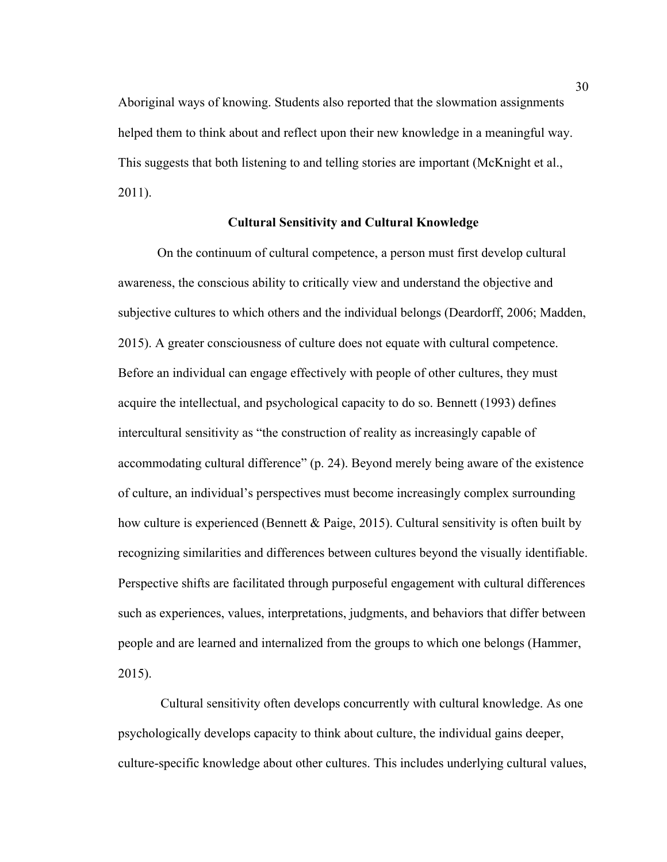Aboriginal ways of knowing. Students also reported that the slowmation assignments helped them to think about and reflect upon their new knowledge in a meaningful way. This suggests that both listening to and telling stories are important (McKnight et al., 2011).

#### **Cultural Sensitivity and Cultural Knowledge**

On the continuum of cultural competence, a person must first develop cultural awareness, the conscious ability to critically view and understand the objective and subjective cultures to which others and the individual belongs (Deardorff, 2006; Madden, 2015). A greater consciousness of culture does not equate with cultural competence. Before an individual can engage effectively with people of other cultures, they must acquire the intellectual, and psychological capacity to do so. Bennett (1993) defines intercultural sensitivity as "the construction of reality as increasingly capable of accommodating cultural difference" (p. 24). Beyond merely being aware of the existence of culture, an individual's perspectives must become increasingly complex surrounding how culture is experienced (Bennett & Paige, 2015). Cultural sensitivity is often built by recognizing similarities and differences between cultures beyond the visually identifiable. Perspective shifts are facilitated through purposeful engagement with cultural differences such as experiences, values, interpretations, judgments, and behaviors that differ between people and are learned and internalized from the groups to which one belongs (Hammer, 2015).

Cultural sensitivity often develops concurrently with cultural knowledge. As one psychologically develops capacity to think about culture, the individual gains deeper, culture-specific knowledge about other cultures. This includes underlying cultural values,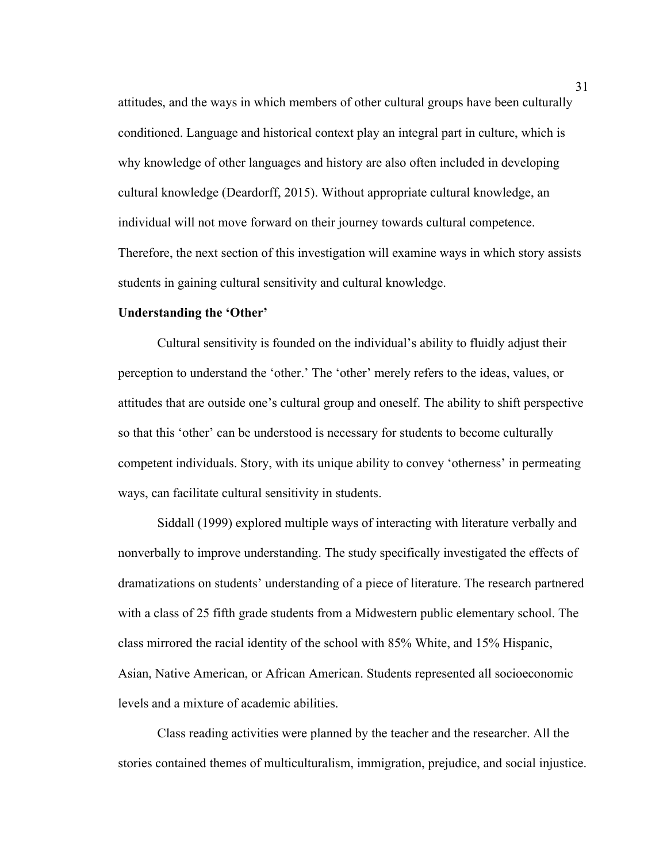attitudes, and the ways in which members of other cultural groups have been culturally conditioned. Language and historical context play an integral part in culture, which is why knowledge of other languages and history are also often included in developing cultural knowledge (Deardorff, 2015). Without appropriate cultural knowledge, an individual will not move forward on their journey towards cultural competence. Therefore, the next section of this investigation will examine ways in which story assists students in gaining cultural sensitivity and cultural knowledge.

#### **Understanding the 'Other'**

Cultural sensitivity is founded on the individual's ability to fluidly adjust their perception to understand the 'other.' The 'other' merely refers to the ideas, values, or attitudes that are outside one's cultural group and oneself. The ability to shift perspective so that this 'other' can be understood is necessary for students to become culturally competent individuals. Story, with its unique ability to convey 'otherness' in permeating ways, can facilitate cultural sensitivity in students.

Siddall (1999) explored multiple ways of interacting with literature verbally and nonverbally to improve understanding. The study specifically investigated the effects of dramatizations on students' understanding of a piece of literature. The research partnered with a class of 25 fifth grade students from a Midwestern public elementary school. The class mirrored the racial identity of the school with 85% White, and 15% Hispanic, Asian, Native American, or African American. Students represented all socioeconomic levels and a mixture of academic abilities.

Class reading activities were planned by the teacher and the researcher. All the stories contained themes of multiculturalism, immigration, prejudice, and social injustice.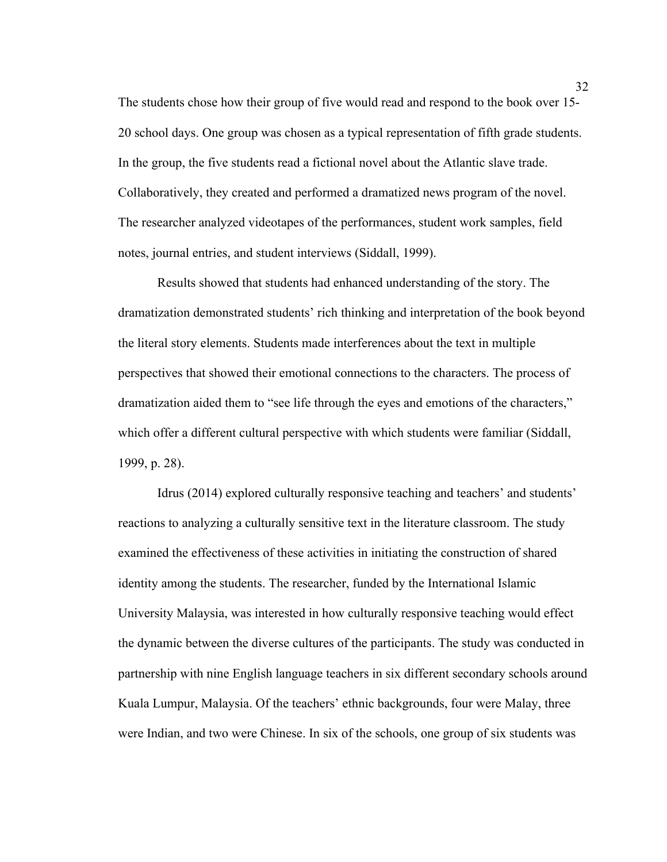The students chose how their group of five would read and respond to the book over 15- 20 school days. One group was chosen as a typical representation of fifth grade students. In the group, the five students read a fictional novel about the Atlantic slave trade. Collaboratively, they created and performed a dramatized news program of the novel. The researcher analyzed videotapes of the performances, student work samples, field notes, journal entries, and student interviews (Siddall, 1999).

Results showed that students had enhanced understanding of the story. The dramatization demonstrated students' rich thinking and interpretation of the book beyond the literal story elements. Students made interferences about the text in multiple perspectives that showed their emotional connections to the characters. The process of dramatization aided them to "see life through the eyes and emotions of the characters," which offer a different cultural perspective with which students were familiar (Siddall, 1999, p. 28).

Idrus (2014) explored culturally responsive teaching and teachers' and students' reactions to analyzing a culturally sensitive text in the literature classroom. The study examined the effectiveness of these activities in initiating the construction of shared identity among the students. The researcher, funded by the International Islamic University Malaysia, was interested in how culturally responsive teaching would effect the dynamic between the diverse cultures of the participants. The study was conducted in partnership with nine English language teachers in six different secondary schools around Kuala Lumpur, Malaysia. Of the teachers' ethnic backgrounds, four were Malay, three were Indian, and two were Chinese. In six of the schools, one group of six students was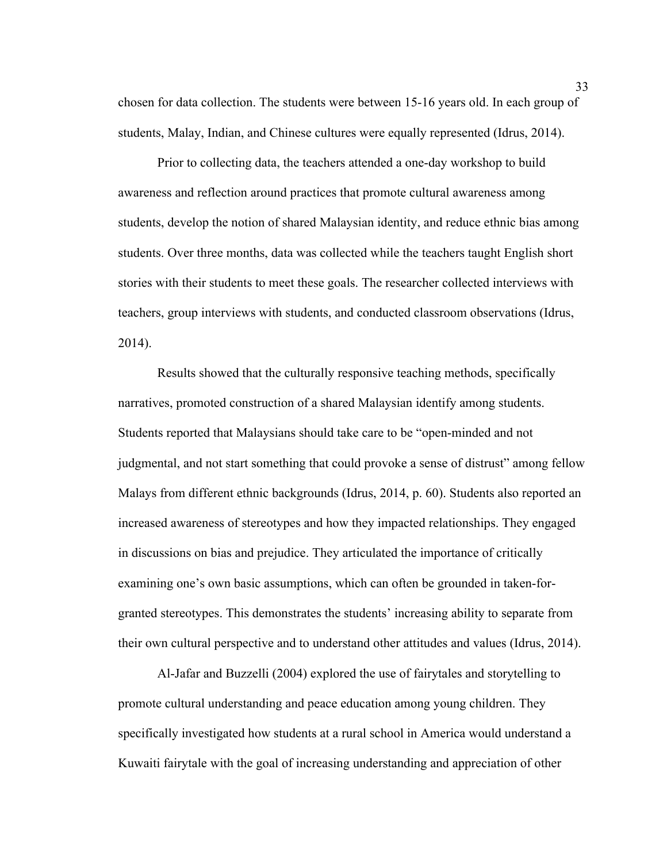chosen for data collection. The students were between 15-16 years old. In each group of students, Malay, Indian, and Chinese cultures were equally represented (Idrus, 2014).

Prior to collecting data, the teachers attended a one-day workshop to build awareness and reflection around practices that promote cultural awareness among students, develop the notion of shared Malaysian identity, and reduce ethnic bias among students. Over three months, data was collected while the teachers taught English short stories with their students to meet these goals. The researcher collected interviews with teachers, group interviews with students, and conducted classroom observations (Idrus, 2014).

Results showed that the culturally responsive teaching methods, specifically narratives, promoted construction of a shared Malaysian identify among students. Students reported that Malaysians should take care to be "open-minded and not judgmental, and not start something that could provoke a sense of distrust" among fellow Malays from different ethnic backgrounds (Idrus, 2014, p. 60). Students also reported an increased awareness of stereotypes and how they impacted relationships. They engaged in discussions on bias and prejudice. They articulated the importance of critically examining one's own basic assumptions, which can often be grounded in taken-forgranted stereotypes. This demonstrates the students' increasing ability to separate from their own cultural perspective and to understand other attitudes and values (Idrus, 2014).

Al-Jafar and Buzzelli (2004) explored the use of fairytales and storytelling to promote cultural understanding and peace education among young children. They specifically investigated how students at a rural school in America would understand a Kuwaiti fairytale with the goal of increasing understanding and appreciation of other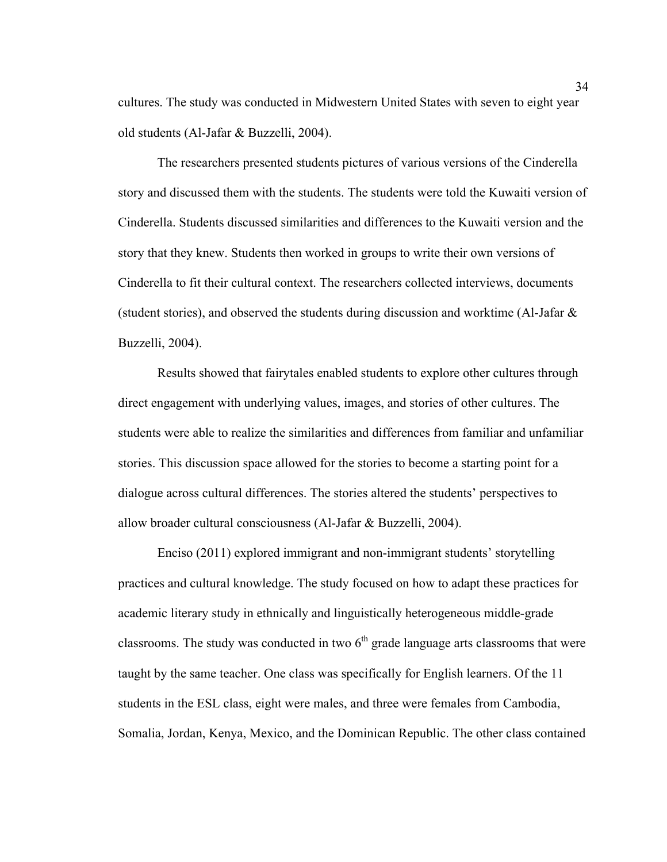cultures. The study was conducted in Midwestern United States with seven to eight year old students (Al-Jafar & Buzzelli, 2004).

The researchers presented students pictures of various versions of the Cinderella story and discussed them with the students. The students were told the Kuwaiti version of Cinderella. Students discussed similarities and differences to the Kuwaiti version and the story that they knew. Students then worked in groups to write their own versions of Cinderella to fit their cultural context. The researchers collected interviews, documents (student stories), and observed the students during discussion and worktime (Al-Jafar & Buzzelli, 2004).

Results showed that fairytales enabled students to explore other cultures through direct engagement with underlying values, images, and stories of other cultures. The students were able to realize the similarities and differences from familiar and unfamiliar stories. This discussion space allowed for the stories to become a starting point for a dialogue across cultural differences. The stories altered the students' perspectives to allow broader cultural consciousness (Al-Jafar & Buzzelli, 2004).

Enciso (2011) explored immigrant and non-immigrant students' storytelling practices and cultural knowledge. The study focused on how to adapt these practices for academic literary study in ethnically and linguistically heterogeneous middle-grade classrooms. The study was conducted in two  $6<sup>th</sup>$  grade language arts classrooms that were taught by the same teacher. One class was specifically for English learners. Of the 11 students in the ESL class, eight were males, and three were females from Cambodia, Somalia, Jordan, Kenya, Mexico, and the Dominican Republic. The other class contained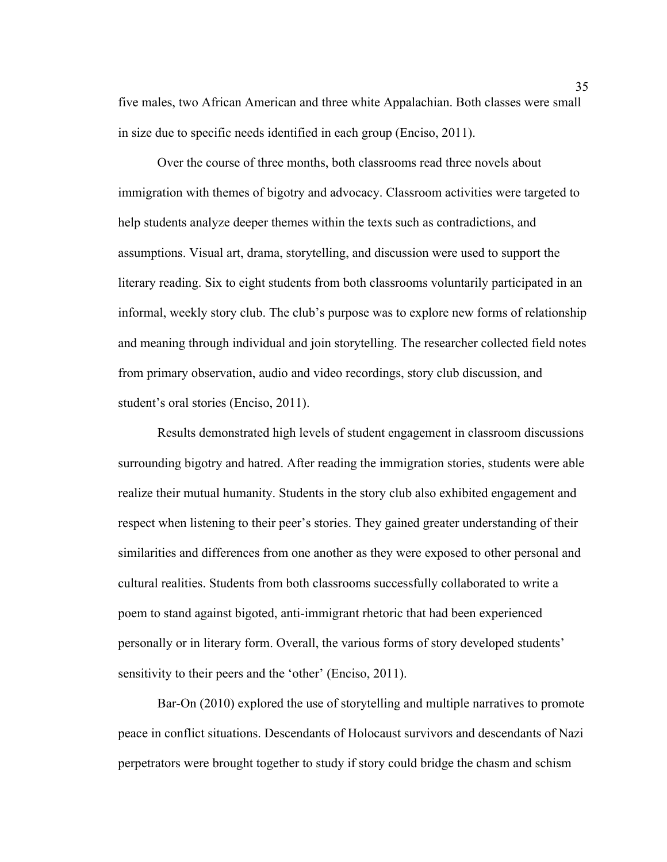five males, two African American and three white Appalachian. Both classes were small in size due to specific needs identified in each group (Enciso, 2011).

Over the course of three months, both classrooms read three novels about immigration with themes of bigotry and advocacy. Classroom activities were targeted to help students analyze deeper themes within the texts such as contradictions, and assumptions. Visual art, drama, storytelling, and discussion were used to support the literary reading. Six to eight students from both classrooms voluntarily participated in an informal, weekly story club. The club's purpose was to explore new forms of relationship and meaning through individual and join storytelling. The researcher collected field notes from primary observation, audio and video recordings, story club discussion, and student's oral stories (Enciso, 2011).

Results demonstrated high levels of student engagement in classroom discussions surrounding bigotry and hatred. After reading the immigration stories, students were able realize their mutual humanity. Students in the story club also exhibited engagement and respect when listening to their peer's stories. They gained greater understanding of their similarities and differences from one another as they were exposed to other personal and cultural realities. Students from both classrooms successfully collaborated to write a poem to stand against bigoted, anti-immigrant rhetoric that had been experienced personally or in literary form. Overall, the various forms of story developed students' sensitivity to their peers and the 'other' (Enciso, 2011).

Bar-On (2010) explored the use of storytelling and multiple narratives to promote peace in conflict situations. Descendants of Holocaust survivors and descendants of Nazi perpetrators were brought together to study if story could bridge the chasm and schism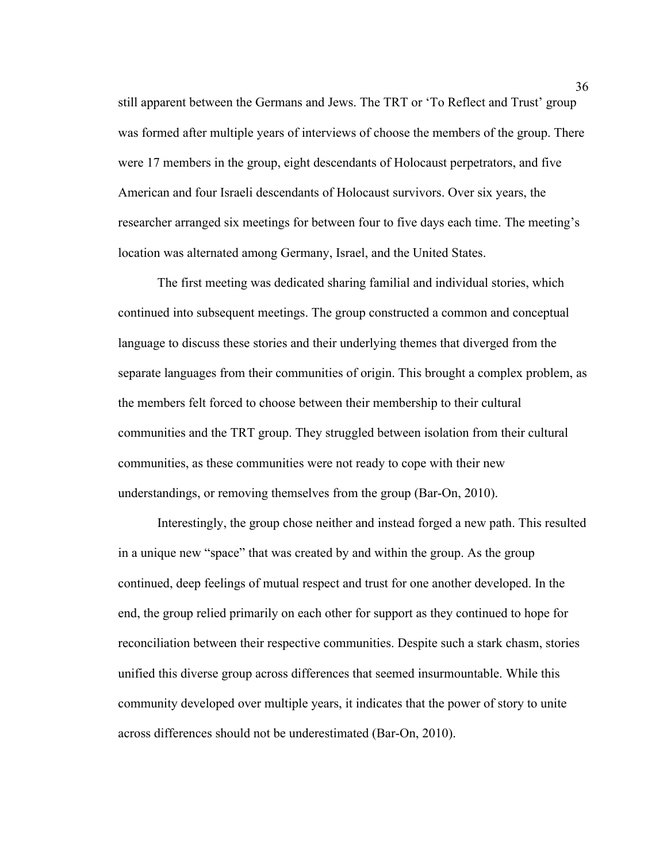still apparent between the Germans and Jews. The TRT or 'To Reflect and Trust' group was formed after multiple years of interviews of choose the members of the group. There were 17 members in the group, eight descendants of Holocaust perpetrators, and five American and four Israeli descendants of Holocaust survivors. Over six years, the researcher arranged six meetings for between four to five days each time. The meeting's location was alternated among Germany, Israel, and the United States.

The first meeting was dedicated sharing familial and individual stories, which continued into subsequent meetings. The group constructed a common and conceptual language to discuss these stories and their underlying themes that diverged from the separate languages from their communities of origin. This brought a complex problem, as the members felt forced to choose between their membership to their cultural communities and the TRT group. They struggled between isolation from their cultural communities, as these communities were not ready to cope with their new understandings, or removing themselves from the group (Bar-On, 2010).

Interestingly, the group chose neither and instead forged a new path. This resulted in a unique new "space" that was created by and within the group. As the group continued, deep feelings of mutual respect and trust for one another developed. In the end, the group relied primarily on each other for support as they continued to hope for reconciliation between their respective communities. Despite such a stark chasm, stories unified this diverse group across differences that seemed insurmountable. While this community developed over multiple years, it indicates that the power of story to unite across differences should not be underestimated (Bar-On, 2010).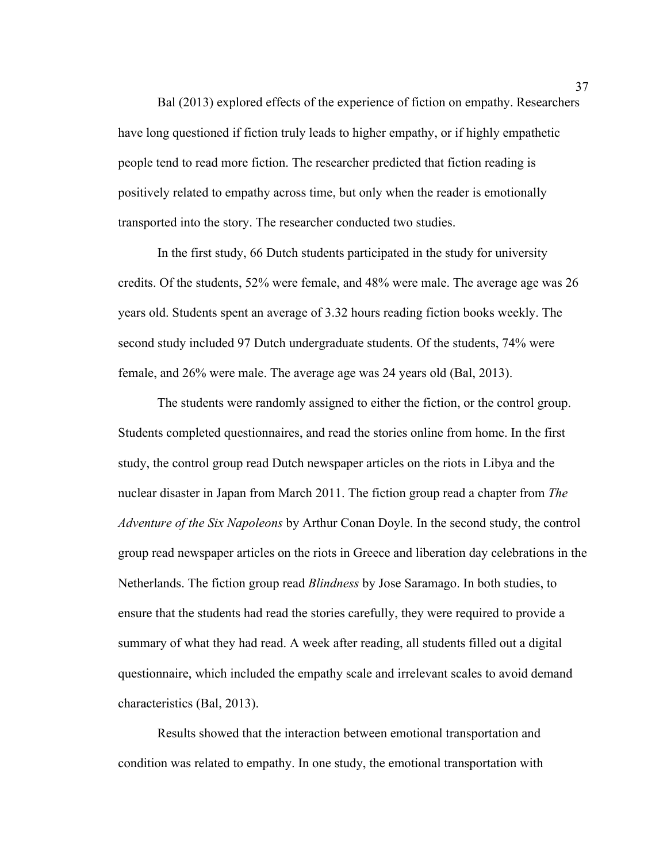Bal (2013) explored effects of the experience of fiction on empathy. Researchers have long questioned if fiction truly leads to higher empathy, or if highly empathetic people tend to read more fiction. The researcher predicted that fiction reading is positively related to empathy across time, but only when the reader is emotionally transported into the story. The researcher conducted two studies.

In the first study, 66 Dutch students participated in the study for university credits. Of the students, 52% were female, and 48% were male. The average age was 26 years old. Students spent an average of 3.32 hours reading fiction books weekly. The second study included 97 Dutch undergraduate students. Of the students, 74% were female, and 26% were male. The average age was 24 years old (Bal, 2013).

The students were randomly assigned to either the fiction, or the control group. Students completed questionnaires, and read the stories online from home. In the first study, the control group read Dutch newspaper articles on the riots in Libya and the nuclear disaster in Japan from March 2011. The fiction group read a chapter from *The Adventure of the Six Napoleons* by Arthur Conan Doyle. In the second study, the control group read newspaper articles on the riots in Greece and liberation day celebrations in the Netherlands. The fiction group read *Blindness* by Jose Saramago. In both studies, to ensure that the students had read the stories carefully, they were required to provide a summary of what they had read. A week after reading, all students filled out a digital questionnaire, which included the empathy scale and irrelevant scales to avoid demand characteristics (Bal, 2013).

Results showed that the interaction between emotional transportation and condition was related to empathy. In one study, the emotional transportation with 37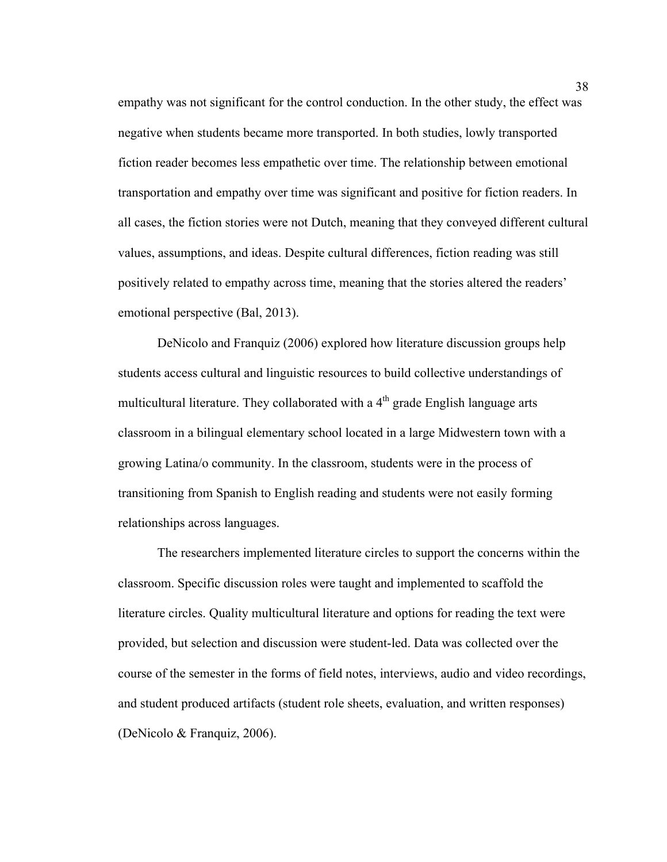empathy was not significant for the control conduction. In the other study, the effect was negative when students became more transported. In both studies, lowly transported fiction reader becomes less empathetic over time. The relationship between emotional transportation and empathy over time was significant and positive for fiction readers. In all cases, the fiction stories were not Dutch, meaning that they conveyed different cultural values, assumptions, and ideas. Despite cultural differences, fiction reading was still positively related to empathy across time, meaning that the stories altered the readers' emotional perspective (Bal, 2013).

DeNicolo and Franquiz (2006) explored how literature discussion groups help students access cultural and linguistic resources to build collective understandings of multicultural literature. They collaborated with a  $4<sup>th</sup>$  grade English language arts classroom in a bilingual elementary school located in a large Midwestern town with a growing Latina/o community. In the classroom, students were in the process of transitioning from Spanish to English reading and students were not easily forming relationships across languages.

The researchers implemented literature circles to support the concerns within the classroom. Specific discussion roles were taught and implemented to scaffold the literature circles. Quality multicultural literature and options for reading the text were provided, but selection and discussion were student-led. Data was collected over the course of the semester in the forms of field notes, interviews, audio and video recordings, and student produced artifacts (student role sheets, evaluation, and written responses) (DeNicolo & Franquiz, 2006).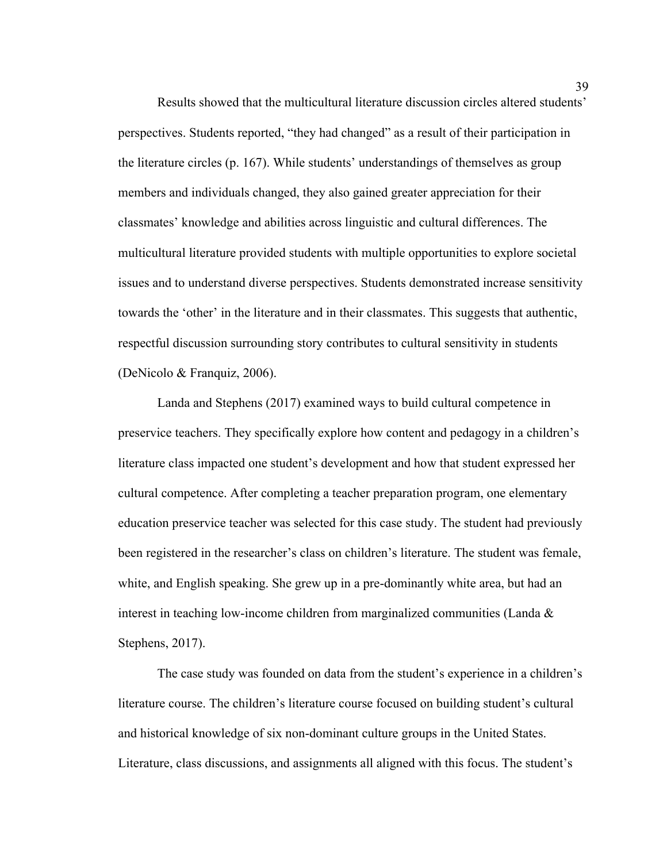Results showed that the multicultural literature discussion circles altered students' perspectives. Students reported, "they had changed" as a result of their participation in the literature circles (p. 167). While students' understandings of themselves as group members and individuals changed, they also gained greater appreciation for their classmates' knowledge and abilities across linguistic and cultural differences. The multicultural literature provided students with multiple opportunities to explore societal issues and to understand diverse perspectives. Students demonstrated increase sensitivity towards the 'other' in the literature and in their classmates. This suggests that authentic, respectful discussion surrounding story contributes to cultural sensitivity in students (DeNicolo & Franquiz, 2006).

Landa and Stephens (2017) examined ways to build cultural competence in preservice teachers. They specifically explore how content and pedagogy in a children's literature class impacted one student's development and how that student expressed her cultural competence. After completing a teacher preparation program, one elementary education preservice teacher was selected for this case study. The student had previously been registered in the researcher's class on children's literature. The student was female, white, and English speaking. She grew up in a pre-dominantly white area, but had an interest in teaching low-income children from marginalized communities (Landa & Stephens, 2017).

The case study was founded on data from the student's experience in a children's literature course. The children's literature course focused on building student's cultural and historical knowledge of six non-dominant culture groups in the United States. Literature, class discussions, and assignments all aligned with this focus. The student's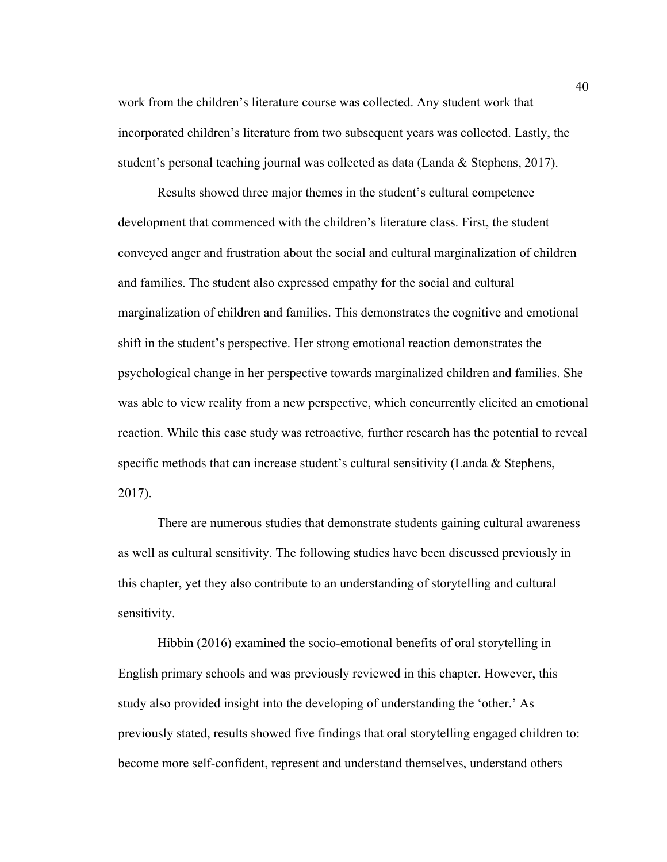work from the children's literature course was collected. Any student work that incorporated children's literature from two subsequent years was collected. Lastly, the student's personal teaching journal was collected as data (Landa & Stephens, 2017).

Results showed three major themes in the student's cultural competence development that commenced with the children's literature class. First, the student conveyed anger and frustration about the social and cultural marginalization of children and families. The student also expressed empathy for the social and cultural marginalization of children and families. This demonstrates the cognitive and emotional shift in the student's perspective. Her strong emotional reaction demonstrates the psychological change in her perspective towards marginalized children and families. She was able to view reality from a new perspective, which concurrently elicited an emotional reaction. While this case study was retroactive, further research has the potential to reveal specific methods that can increase student's cultural sensitivity (Landa & Stephens, 2017).

There are numerous studies that demonstrate students gaining cultural awareness as well as cultural sensitivity. The following studies have been discussed previously in this chapter, yet they also contribute to an understanding of storytelling and cultural sensitivity.

Hibbin (2016) examined the socio-emotional benefits of oral storytelling in English primary schools and was previously reviewed in this chapter. However, this study also provided insight into the developing of understanding the 'other.' As previously stated, results showed five findings that oral storytelling engaged children to: become more self-confident, represent and understand themselves, understand others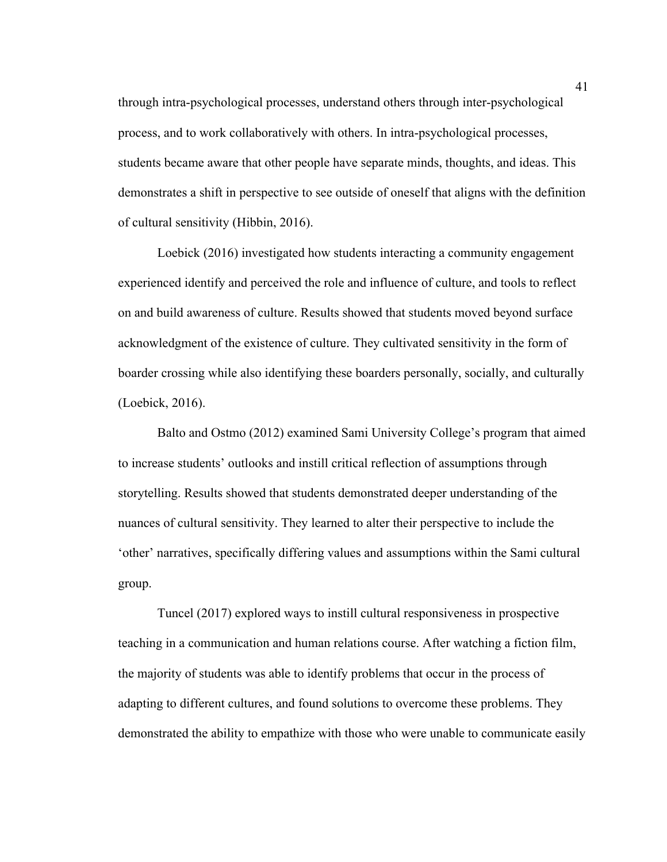through intra-psychological processes, understand others through inter-psychological process, and to work collaboratively with others. In intra-psychological processes, students became aware that other people have separate minds, thoughts, and ideas. This demonstrates a shift in perspective to see outside of oneself that aligns with the definition of cultural sensitivity (Hibbin, 2016).

Loebick (2016) investigated how students interacting a community engagement experienced identify and perceived the role and influence of culture, and tools to reflect on and build awareness of culture. Results showed that students moved beyond surface acknowledgment of the existence of culture. They cultivated sensitivity in the form of boarder crossing while also identifying these boarders personally, socially, and culturally (Loebick, 2016).

Balto and Ostmo (2012) examined Sami University College's program that aimed to increase students' outlooks and instill critical reflection of assumptions through storytelling. Results showed that students demonstrated deeper understanding of the nuances of cultural sensitivity. They learned to alter their perspective to include the 'other' narratives, specifically differing values and assumptions within the Sami cultural group.

Tuncel (2017) explored ways to instill cultural responsiveness in prospective teaching in a communication and human relations course. After watching a fiction film, the majority of students was able to identify problems that occur in the process of adapting to different cultures, and found solutions to overcome these problems. They demonstrated the ability to empathize with those who were unable to communicate easily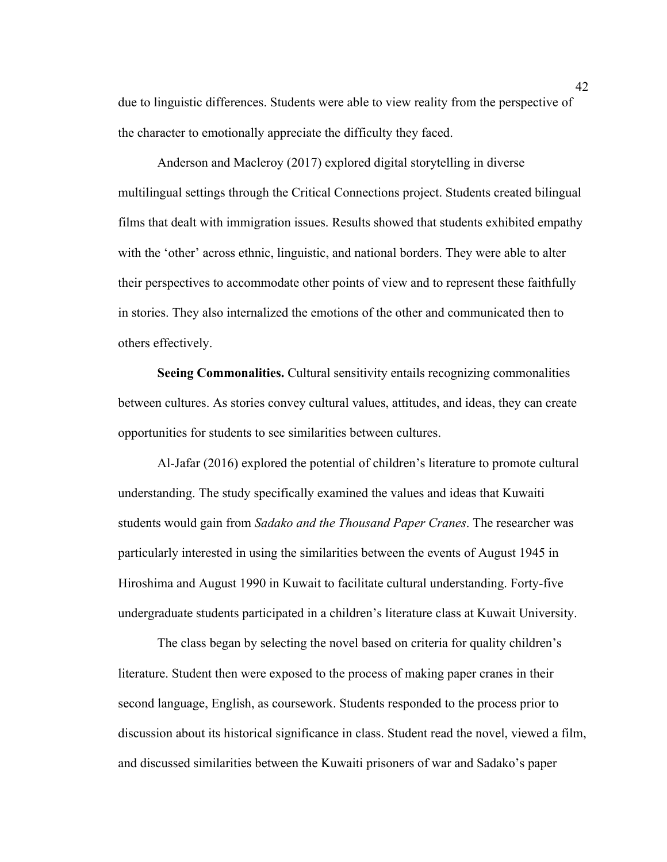due to linguistic differences. Students were able to view reality from the perspective of the character to emotionally appreciate the difficulty they faced.

Anderson and Macleroy (2017) explored digital storytelling in diverse multilingual settings through the Critical Connections project. Students created bilingual films that dealt with immigration issues. Results showed that students exhibited empathy with the 'other' across ethnic, linguistic, and national borders. They were able to alter their perspectives to accommodate other points of view and to represent these faithfully in stories. They also internalized the emotions of the other and communicated then to others effectively.

**Seeing Commonalities.** Cultural sensitivity entails recognizing commonalities between cultures. As stories convey cultural values, attitudes, and ideas, they can create opportunities for students to see similarities between cultures.

Al-Jafar (2016) explored the potential of children's literature to promote cultural understanding. The study specifically examined the values and ideas that Kuwaiti students would gain from *Sadako and the Thousand Paper Cranes*. The researcher was particularly interested in using the similarities between the events of August 1945 in Hiroshima and August 1990 in Kuwait to facilitate cultural understanding. Forty-five undergraduate students participated in a children's literature class at Kuwait University.

The class began by selecting the novel based on criteria for quality children's literature. Student then were exposed to the process of making paper cranes in their second language, English, as coursework. Students responded to the process prior to discussion about its historical significance in class. Student read the novel, viewed a film, and discussed similarities between the Kuwaiti prisoners of war and Sadako's paper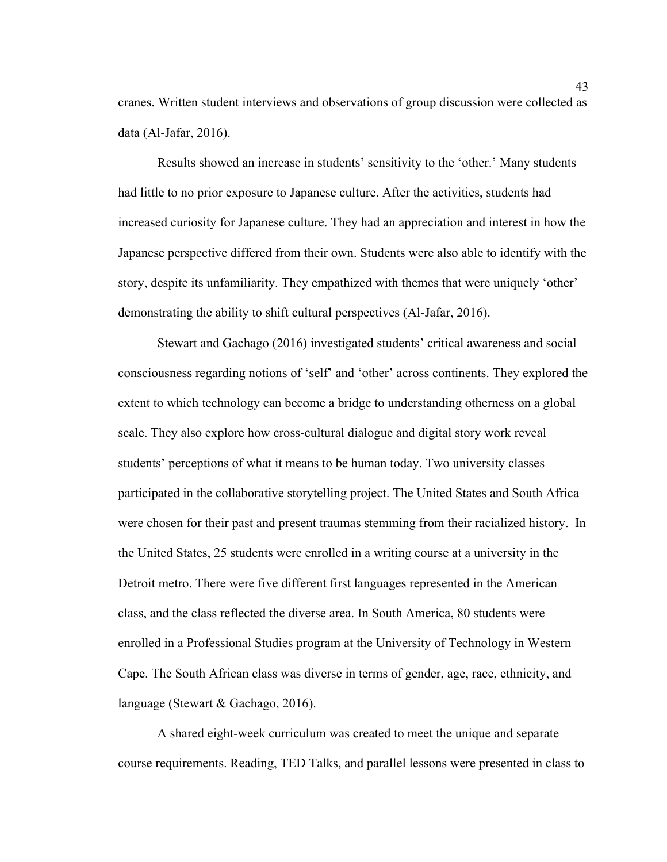cranes. Written student interviews and observations of group discussion were collected as data (Al-Jafar, 2016).

Results showed an increase in students' sensitivity to the 'other.' Many students had little to no prior exposure to Japanese culture. After the activities, students had increased curiosity for Japanese culture. They had an appreciation and interest in how the Japanese perspective differed from their own. Students were also able to identify with the story, despite its unfamiliarity. They empathized with themes that were uniquely 'other' demonstrating the ability to shift cultural perspectives (Al-Jafar, 2016).

Stewart and Gachago (2016) investigated students' critical awareness and social consciousness regarding notions of 'self' and 'other' across continents. They explored the extent to which technology can become a bridge to understanding otherness on a global scale. They also explore how cross-cultural dialogue and digital story work reveal students' perceptions of what it means to be human today. Two university classes participated in the collaborative storytelling project. The United States and South Africa were chosen for their past and present traumas stemming from their racialized history. In the United States, 25 students were enrolled in a writing course at a university in the Detroit metro. There were five different first languages represented in the American class, and the class reflected the diverse area. In South America, 80 students were enrolled in a Professional Studies program at the University of Technology in Western Cape. The South African class was diverse in terms of gender, age, race, ethnicity, and language (Stewart & Gachago, 2016).

A shared eight-week curriculum was created to meet the unique and separate course requirements. Reading, TED Talks, and parallel lessons were presented in class to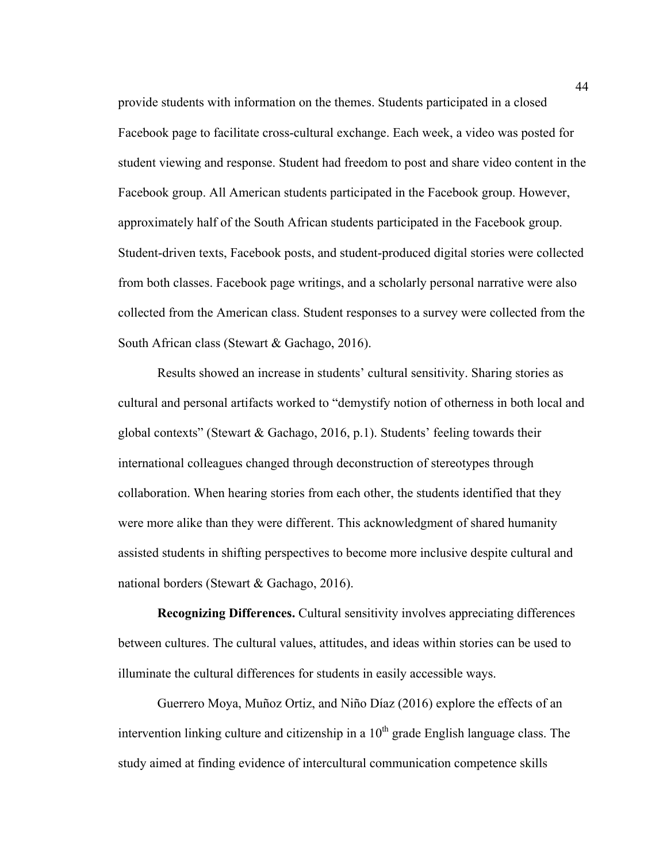provide students with information on the themes. Students participated in a closed Facebook page to facilitate cross-cultural exchange. Each week, a video was posted for student viewing and response. Student had freedom to post and share video content in the Facebook group. All American students participated in the Facebook group. However, approximately half of the South African students participated in the Facebook group. Student-driven texts, Facebook posts, and student-produced digital stories were collected from both classes. Facebook page writings, and a scholarly personal narrative were also collected from the American class. Student responses to a survey were collected from the South African class (Stewart & Gachago, 2016).

Results showed an increase in students' cultural sensitivity. Sharing stories as cultural and personal artifacts worked to "demystify notion of otherness in both local and global contexts" (Stewart & Gachago, 2016, p.1). Students' feeling towards their international colleagues changed through deconstruction of stereotypes through collaboration. When hearing stories from each other, the students identified that they were more alike than they were different. This acknowledgment of shared humanity assisted students in shifting perspectives to become more inclusive despite cultural and national borders (Stewart & Gachago, 2016).

**Recognizing Differences.** Cultural sensitivity involves appreciating differences between cultures. The cultural values, attitudes, and ideas within stories can be used to illuminate the cultural differences for students in easily accessible ways.

Guerrero Moya, Muñoz Ortiz, and Niño Díaz (2016) explore the effects of an intervention linking culture and citizenship in a  $10<sup>th</sup>$  grade English language class. The study aimed at finding evidence of intercultural communication competence skills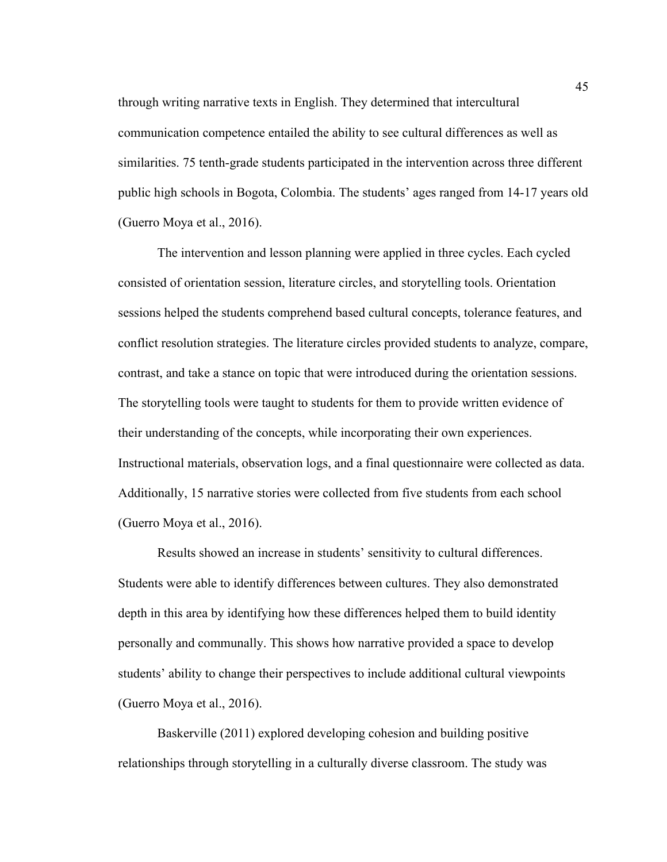through writing narrative texts in English. They determined that intercultural communication competence entailed the ability to see cultural differences as well as similarities. 75 tenth-grade students participated in the intervention across three different public high schools in Bogota, Colombia. The students' ages ranged from 14-17 years old (Guerro Moya et al., 2016).

The intervention and lesson planning were applied in three cycles. Each cycled consisted of orientation session, literature circles, and storytelling tools. Orientation sessions helped the students comprehend based cultural concepts, tolerance features, and conflict resolution strategies. The literature circles provided students to analyze, compare, contrast, and take a stance on topic that were introduced during the orientation sessions. The storytelling tools were taught to students for them to provide written evidence of their understanding of the concepts, while incorporating their own experiences. Instructional materials, observation logs, and a final questionnaire were collected as data. Additionally, 15 narrative stories were collected from five students from each school (Guerro Moya et al., 2016).

Results showed an increase in students' sensitivity to cultural differences. Students were able to identify differences between cultures. They also demonstrated depth in this area by identifying how these differences helped them to build identity personally and communally. This shows how narrative provided a space to develop students' ability to change their perspectives to include additional cultural viewpoints (Guerro Moya et al., 2016).

Baskerville (2011) explored developing cohesion and building positive relationships through storytelling in a culturally diverse classroom. The study was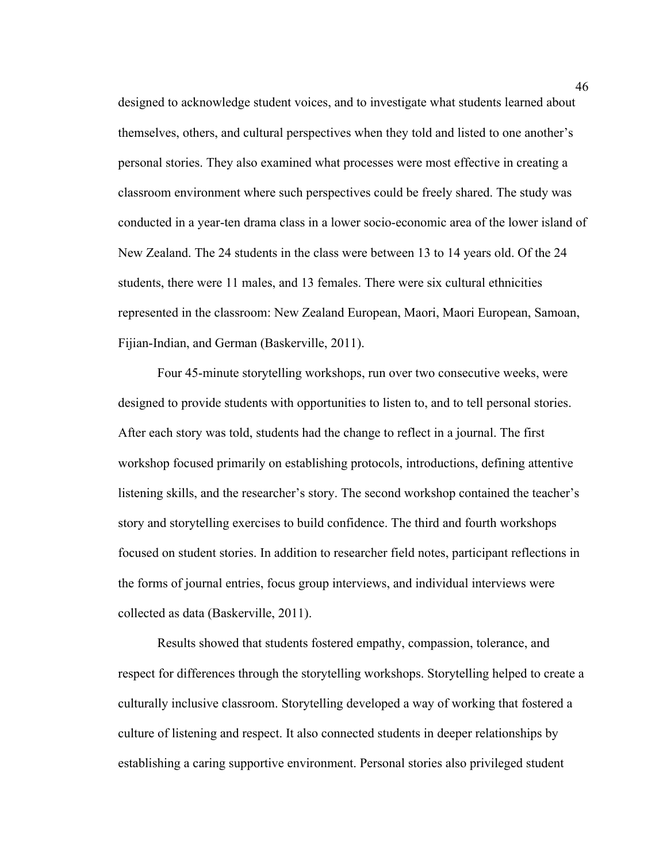designed to acknowledge student voices, and to investigate what students learned about themselves, others, and cultural perspectives when they told and listed to one another's personal stories. They also examined what processes were most effective in creating a classroom environment where such perspectives could be freely shared. The study was conducted in a year-ten drama class in a lower socio-economic area of the lower island of New Zealand. The 24 students in the class were between 13 to 14 years old. Of the 24 students, there were 11 males, and 13 females. There were six cultural ethnicities represented in the classroom: New Zealand European, Maori, Maori European, Samoan, Fijian-Indian, and German (Baskerville, 2011).

Four 45-minute storytelling workshops, run over two consecutive weeks, were designed to provide students with opportunities to listen to, and to tell personal stories. After each story was told, students had the change to reflect in a journal. The first workshop focused primarily on establishing protocols, introductions, defining attentive listening skills, and the researcher's story. The second workshop contained the teacher's story and storytelling exercises to build confidence. The third and fourth workshops focused on student stories. In addition to researcher field notes, participant reflections in the forms of journal entries, focus group interviews, and individual interviews were collected as data (Baskerville, 2011).

Results showed that students fostered empathy, compassion, tolerance, and respect for differences through the storytelling workshops. Storytelling helped to create a culturally inclusive classroom. Storytelling developed a way of working that fostered a culture of listening and respect. It also connected students in deeper relationships by establishing a caring supportive environment. Personal stories also privileged student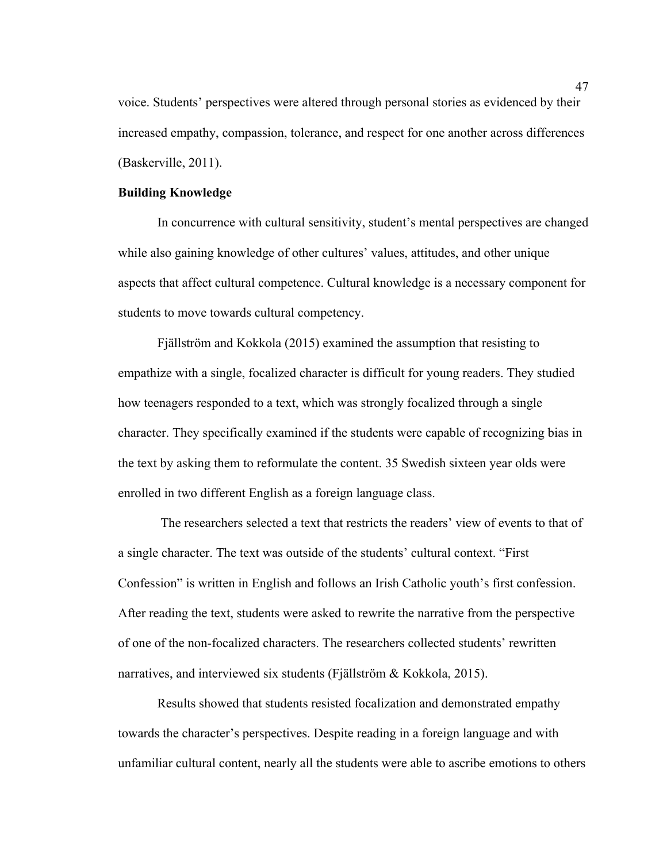voice. Students' perspectives were altered through personal stories as evidenced by their increased empathy, compassion, tolerance, and respect for one another across differences (Baskerville, 2011).

#### **Building Knowledge**

In concurrence with cultural sensitivity, student's mental perspectives are changed while also gaining knowledge of other cultures' values, attitudes, and other unique aspects that affect cultural competence. Cultural knowledge is a necessary component for students to move towards cultural competency.

Fjällström and Kokkola (2015) examined the assumption that resisting to empathize with a single, focalized character is difficult for young readers. They studied how teenagers responded to a text, which was strongly focalized through a single character. They specifically examined if the students were capable of recognizing bias in the text by asking them to reformulate the content. 35 Swedish sixteen year olds were enrolled in two different English as a foreign language class.

The researchers selected a text that restricts the readers' view of events to that of a single character. The text was outside of the students' cultural context. "First Confession" is written in English and follows an Irish Catholic youth's first confession. After reading the text, students were asked to rewrite the narrative from the perspective of one of the non-focalized characters. The researchers collected students' rewritten narratives, and interviewed six students (Fjällström & Kokkola, 2015).

Results showed that students resisted focalization and demonstrated empathy towards the character's perspectives. Despite reading in a foreign language and with unfamiliar cultural content, nearly all the students were able to ascribe emotions to others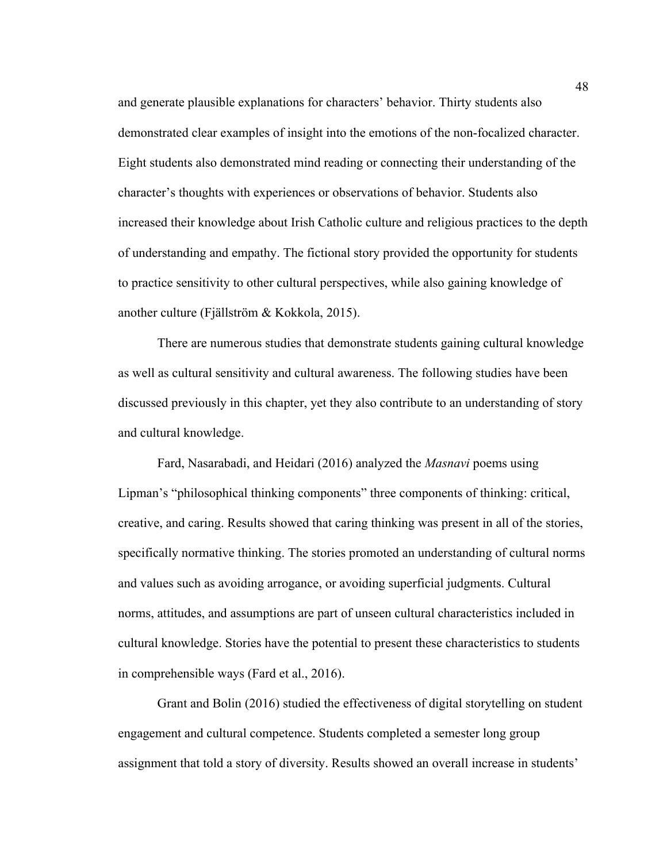and generate plausible explanations for characters' behavior. Thirty students also demonstrated clear examples of insight into the emotions of the non-focalized character. Eight students also demonstrated mind reading or connecting their understanding of the character's thoughts with experiences or observations of behavior. Students also increased their knowledge about Irish Catholic culture and religious practices to the depth of understanding and empathy. The fictional story provided the opportunity for students to practice sensitivity to other cultural perspectives, while also gaining knowledge of another culture (Fjällström & Kokkola, 2015).

There are numerous studies that demonstrate students gaining cultural knowledge as well as cultural sensitivity and cultural awareness. The following studies have been discussed previously in this chapter, yet they also contribute to an understanding of story and cultural knowledge.

Fard, Nasarabadi, and Heidari (2016) analyzed the *Masnavi* poems using Lipman's "philosophical thinking components" three components of thinking: critical, creative, and caring. Results showed that caring thinking was present in all of the stories, specifically normative thinking. The stories promoted an understanding of cultural norms and values such as avoiding arrogance, or avoiding superficial judgments. Cultural norms, attitudes, and assumptions are part of unseen cultural characteristics included in cultural knowledge. Stories have the potential to present these characteristics to students in comprehensible ways (Fard et al., 2016).

Grant and Bolin (2016) studied the effectiveness of digital storytelling on student engagement and cultural competence. Students completed a semester long group assignment that told a story of diversity. Results showed an overall increase in students'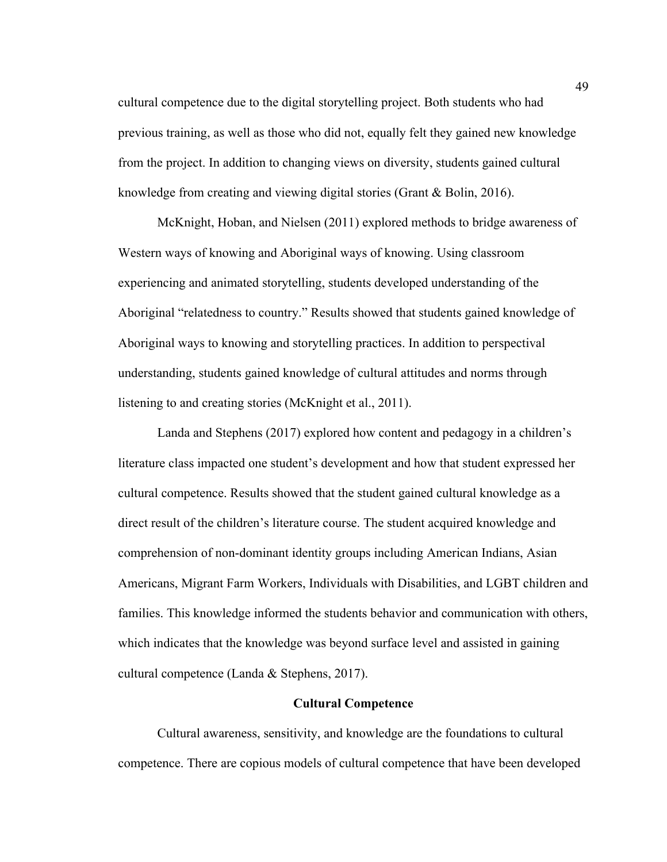cultural competence due to the digital storytelling project. Both students who had previous training, as well as those who did not, equally felt they gained new knowledge from the project. In addition to changing views on diversity, students gained cultural knowledge from creating and viewing digital stories (Grant & Bolin, 2016).

McKnight, Hoban, and Nielsen (2011) explored methods to bridge awareness of Western ways of knowing and Aboriginal ways of knowing. Using classroom experiencing and animated storytelling, students developed understanding of the Aboriginal "relatedness to country." Results showed that students gained knowledge of Aboriginal ways to knowing and storytelling practices. In addition to perspectival understanding, students gained knowledge of cultural attitudes and norms through listening to and creating stories (McKnight et al., 2011).

Landa and Stephens (2017) explored how content and pedagogy in a children's literature class impacted one student's development and how that student expressed her cultural competence. Results showed that the student gained cultural knowledge as a direct result of the children's literature course. The student acquired knowledge and comprehension of non-dominant identity groups including American Indians, Asian Americans, Migrant Farm Workers, Individuals with Disabilities, and LGBT children and families. This knowledge informed the students behavior and communication with others, which indicates that the knowledge was beyond surface level and assisted in gaining cultural competence (Landa & Stephens, 2017).

#### **Cultural Competence**

Cultural awareness, sensitivity, and knowledge are the foundations to cultural competence. There are copious models of cultural competence that have been developed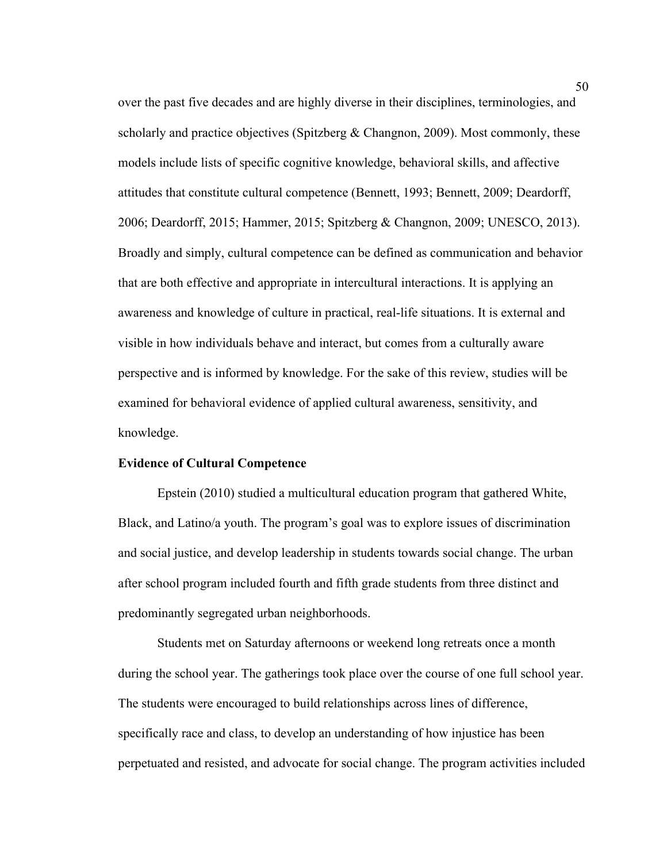over the past five decades and are highly diverse in their disciplines, terminologies, and scholarly and practice objectives (Spitzberg  $\&$  Changnon, 2009). Most commonly, these models include lists of specific cognitive knowledge, behavioral skills, and affective attitudes that constitute cultural competence (Bennett, 1993; Bennett, 2009; Deardorff, 2006; Deardorff, 2015; Hammer, 2015; Spitzberg & Changnon, 2009; UNESCO, 2013). Broadly and simply, cultural competence can be defined as communication and behavior that are both effective and appropriate in intercultural interactions. It is applying an awareness and knowledge of culture in practical, real-life situations. It is external and visible in how individuals behave and interact, but comes from a culturally aware perspective and is informed by knowledge. For the sake of this review, studies will be examined for behavioral evidence of applied cultural awareness, sensitivity, and knowledge.

#### **Evidence of Cultural Competence**

Epstein (2010) studied a multicultural education program that gathered White, Black, and Latino/a youth. The program's goal was to explore issues of discrimination and social justice, and develop leadership in students towards social change. The urban after school program included fourth and fifth grade students from three distinct and predominantly segregated urban neighborhoods.

Students met on Saturday afternoons or weekend long retreats once a month during the school year. The gatherings took place over the course of one full school year. The students were encouraged to build relationships across lines of difference, specifically race and class, to develop an understanding of how injustice has been perpetuated and resisted, and advocate for social change. The program activities included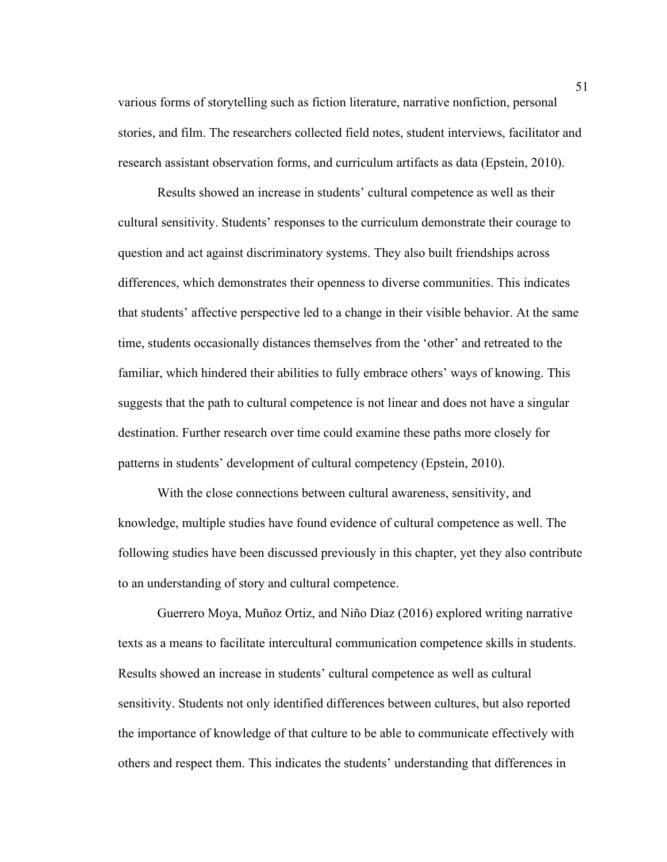various forms of storytelling such as fiction literature, narrative nonfiction, personal stories, and film. The researchers collected field notes, student interviews, facilitator and research assistant observation forms, and curriculum artifacts as data (Epstein, 2010).

Results showed an increase in students' cultural competence as well as their cultural sensitivity. Students' responses to the curriculum demonstrate their courage to question and act against discriminatory systems. They also built friendships across differences, which demonstrates their openness to diverse communities. This indicates that students' affective perspective led to a change in their visible behavior. At the same time, students occasionally distances themselves from the 'other' and retreated to the familiar, which hindered their abilities to fully embrace others' ways of knowing. This suggests that the path to cultural competence is not linear and does not have a singular destination. Further research over time could examine these paths more closely for patterns in students' development of cultural competency (Epstein, 2010).

With the close connections between cultural awareness, sensitivity, and knowledge, multiple studies have found evidence of cultural competence as well. The following studies have been discussed previously in this chapter, yet they also contribute to an understanding of story and cultural competence.

Guerrero Moya, Muñoz Ortiz, and Niño Díaz (2016) explored writing narrative texts as a means to facilitate intercultural communication competence skills in students. Results showed an increase in students' cultural competence as well as cultural sensitivity. Students not only identified differences between cultures, but also reported the importance of knowledge of that culture to be able to communicate effectively with others and respect them. This indicates the students' understanding that differences in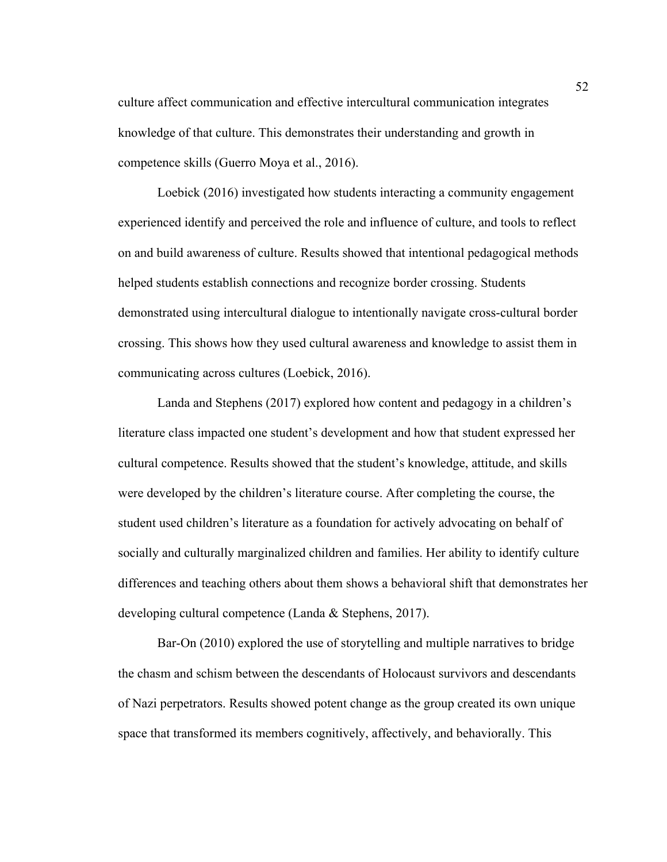culture affect communication and effective intercultural communication integrates knowledge of that culture. This demonstrates their understanding and growth in competence skills (Guerro Moya et al., 2016).

Loebick (2016) investigated how students interacting a community engagement experienced identify and perceived the role and influence of culture, and tools to reflect on and build awareness of culture. Results showed that intentional pedagogical methods helped students establish connections and recognize border crossing. Students demonstrated using intercultural dialogue to intentionally navigate cross-cultural border crossing. This shows how they used cultural awareness and knowledge to assist them in communicating across cultures (Loebick, 2016).

Landa and Stephens (2017) explored how content and pedagogy in a children's literature class impacted one student's development and how that student expressed her cultural competence. Results showed that the student's knowledge, attitude, and skills were developed by the children's literature course. After completing the course, the student used children's literature as a foundation for actively advocating on behalf of socially and culturally marginalized children and families. Her ability to identify culture differences and teaching others about them shows a behavioral shift that demonstrates her developing cultural competence (Landa & Stephens, 2017).

Bar-On (2010) explored the use of storytelling and multiple narratives to bridge the chasm and schism between the descendants of Holocaust survivors and descendants of Nazi perpetrators. Results showed potent change as the group created its own unique space that transformed its members cognitively, affectively, and behaviorally. This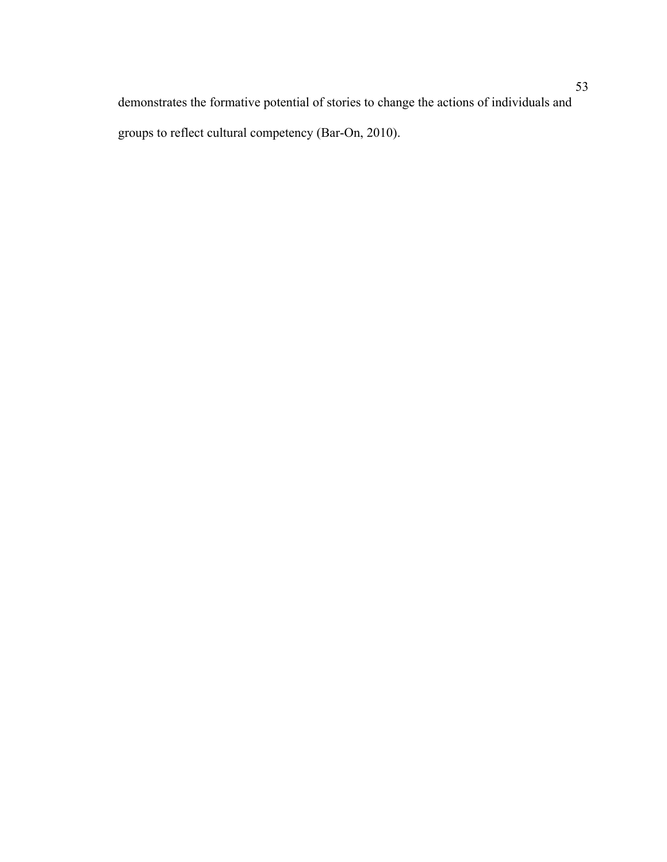demonstrates the formative potential of stories to change the actions of individuals and groups to reflect cultural competency (Bar-On, 2010).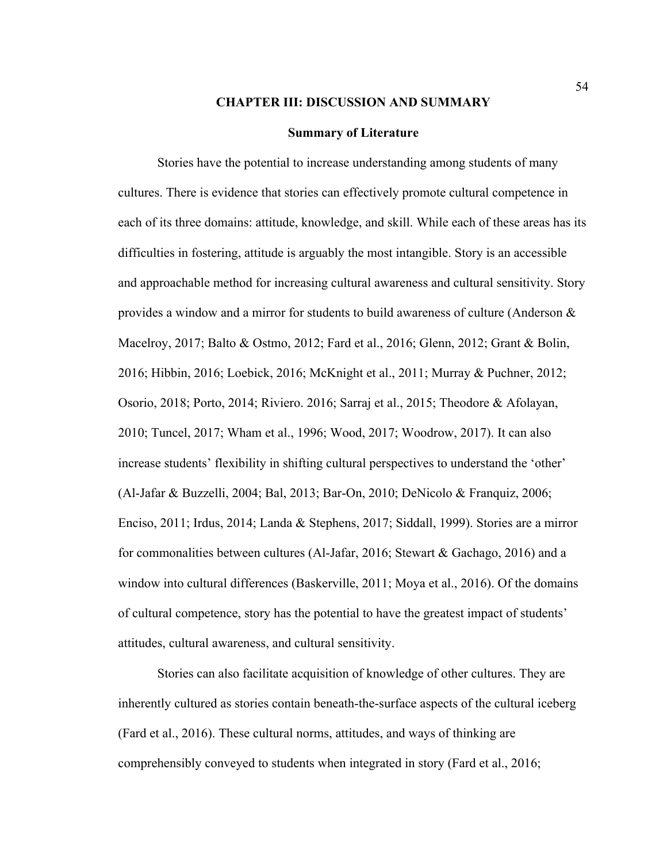#### **CHAPTER III: DISCUSSION AND SUMMARY**

#### **Summary of Literature**

Stories have the potential to increase understanding among students of many cultures. There is evidence that stories can effectively promote cultural competence in each of its three domains: attitude, knowledge, and skill. While each of these areas has its difficulties in fostering, attitude is arguably the most intangible. Story is an accessible and approachable method for increasing cultural awareness and cultural sensitivity. Story provides a window and a mirror for students to build awareness of culture (Anderson & Macelroy, 2017; Balto & Ostmo, 2012; Fard et al., 2016; Glenn, 2012; Grant & Bolin, 2016; Hibbin, 2016; Loebick, 2016; McKnight et al., 2011; Murray & Puchner, 2012; Osorio, 2018; Porto, 2014; Riviero. 2016; Sarraj et al., 2015; Theodore & Afolayan, 2010; Tuncel, 2017; Wham et al., 1996; Wood, 2017; Woodrow, 2017). It can also increase students' flexibility in shifting cultural perspectives to understand the 'other' (Al-Jafar & Buzzelli, 2004; Bal, 2013; Bar-On, 2010; DeNicolo & Franquiz, 2006; Enciso, 2011; Irdus, 2014; Landa & Stephens, 2017; Siddall, 1999). Stories are a mirror for commonalities between cultures (Al-Jafar, 2016; Stewart & Gachago, 2016) and a window into cultural differences (Baskerville, 2011; Moya et al., 2016). Of the domains of cultural competence, story has the potential to have the greatest impact of students' attitudes, cultural awareness, and cultural sensitivity.

Stories can also facilitate acquisition of knowledge of other cultures. They are inherently cultured as stories contain beneath-the-surface aspects of the cultural iceberg (Fard et al., 2016). These cultural norms, attitudes, and ways of thinking are comprehensibly conveyed to students when integrated in story (Fard et al., 2016;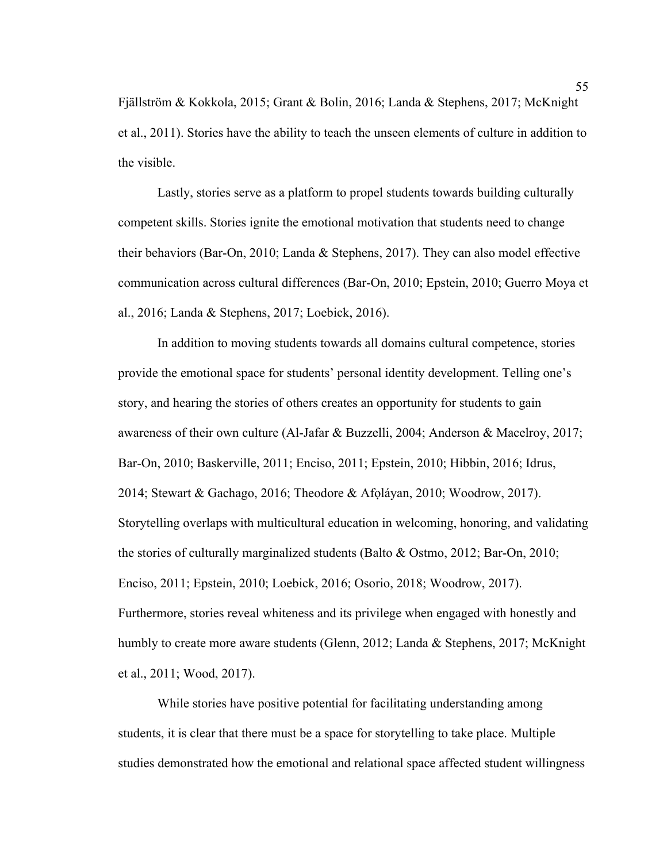Fjällström & Kokkola, 2015; Grant & Bolin, 2016; Landa & Stephens, 2017; McKnight et al., 2011). Stories have the ability to teach the unseen elements of culture in addition to the visible.

Lastly, stories serve as a platform to propel students towards building culturally competent skills. Stories ignite the emotional motivation that students need to change their behaviors (Bar-On, 2010; Landa & Stephens, 2017). They can also model effective communication across cultural differences (Bar-On, 2010; Epstein, 2010; Guerro Moya et al., 2016; Landa & Stephens, 2017; Loebick, 2016).

In addition to moving students towards all domains cultural competence, stories provide the emotional space for students' personal identity development. Telling one's story, and hearing the stories of others creates an opportunity for students to gain awareness of their own culture (Al-Jafar & Buzzelli, 2004; Anderson & Macelroy, 2017; Bar-On, 2010; Baskerville, 2011; Enciso, 2011; Epstein, 2010; Hibbin, 2016; Idrus, 2014; Stewart & Gachago, 2016; Theodore & Afọláyan, 2010; Woodrow, 2017). Storytelling overlaps with multicultural education in welcoming, honoring, and validating the stories of culturally marginalized students (Balto & Ostmo, 2012; Bar-On, 2010; Enciso, 2011; Epstein, 2010; Loebick, 2016; Osorio, 2018; Woodrow, 2017). Furthermore, stories reveal whiteness and its privilege when engaged with honestly and humbly to create more aware students (Glenn, 2012; Landa & Stephens, 2017; McKnight et al., 2011; Wood, 2017).

While stories have positive potential for facilitating understanding among students, it is clear that there must be a space for storytelling to take place. Multiple studies demonstrated how the emotional and relational space affected student willingness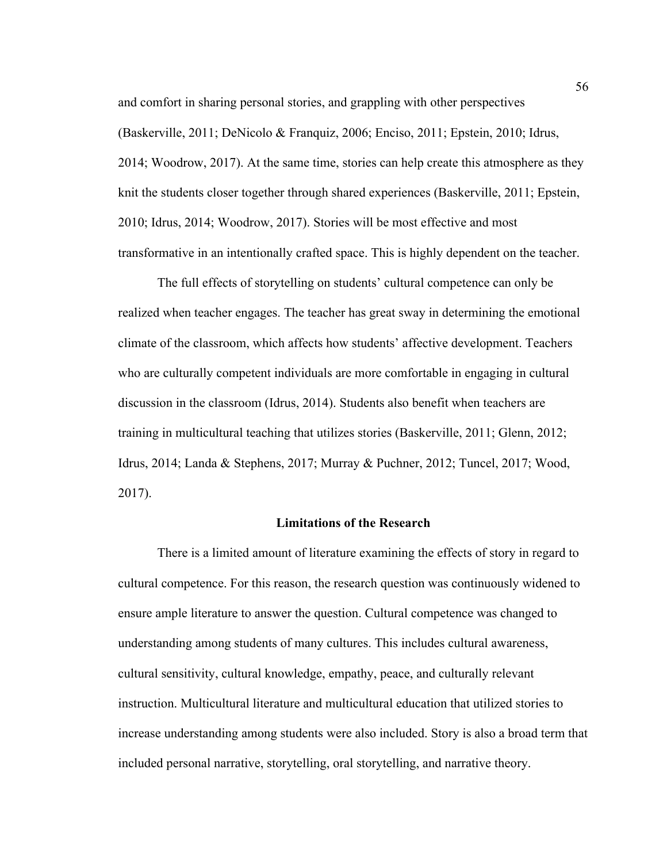and comfort in sharing personal stories, and grappling with other perspectives (Baskerville, 2011; DeNicolo & Franquiz, 2006; Enciso, 2011; Epstein, 2010; Idrus, 2014; Woodrow, 2017). At the same time, stories can help create this atmosphere as they knit the students closer together through shared experiences (Baskerville, 2011; Epstein, 2010; Idrus, 2014; Woodrow, 2017). Stories will be most effective and most transformative in an intentionally crafted space. This is highly dependent on the teacher.

The full effects of storytelling on students' cultural competence can only be realized when teacher engages. The teacher has great sway in determining the emotional climate of the classroom, which affects how students' affective development. Teachers who are culturally competent individuals are more comfortable in engaging in cultural discussion in the classroom (Idrus, 2014). Students also benefit when teachers are training in multicultural teaching that utilizes stories (Baskerville, 2011; Glenn, 2012; Idrus, 2014; Landa & Stephens, 2017; Murray & Puchner, 2012; Tuncel, 2017; Wood, 2017).

#### **Limitations of the Research**

There is a limited amount of literature examining the effects of story in regard to cultural competence. For this reason, the research question was continuously widened to ensure ample literature to answer the question. Cultural competence was changed to understanding among students of many cultures. This includes cultural awareness, cultural sensitivity, cultural knowledge, empathy, peace, and culturally relevant instruction. Multicultural literature and multicultural education that utilized stories to increase understanding among students were also included. Story is also a broad term that included personal narrative, storytelling, oral storytelling, and narrative theory.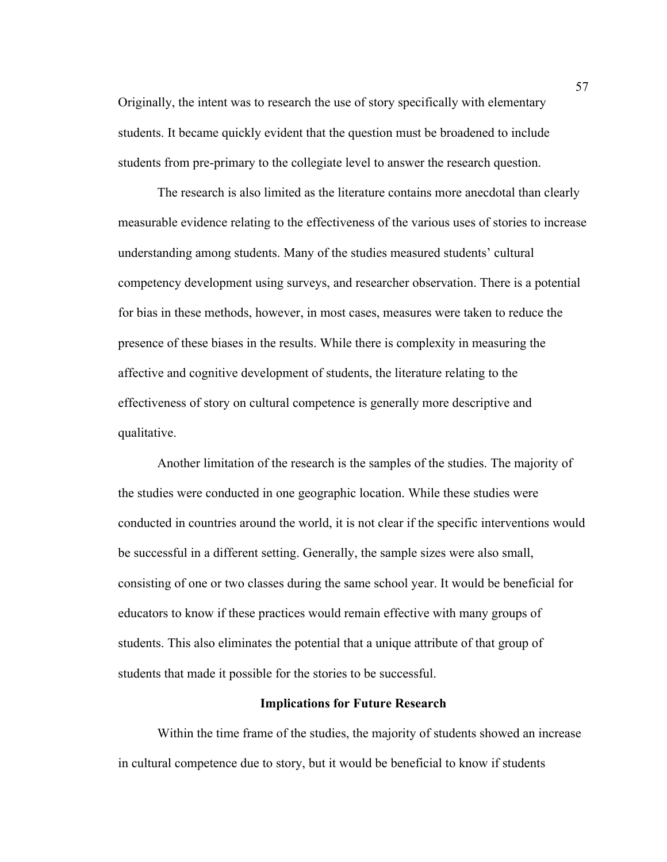Originally, the intent was to research the use of story specifically with elementary students. It became quickly evident that the question must be broadened to include students from pre-primary to the collegiate level to answer the research question.

The research is also limited as the literature contains more anecdotal than clearly measurable evidence relating to the effectiveness of the various uses of stories to increase understanding among students. Many of the studies measured students' cultural competency development using surveys, and researcher observation. There is a potential for bias in these methods, however, in most cases, measures were taken to reduce the presence of these biases in the results. While there is complexity in measuring the affective and cognitive development of students, the literature relating to the effectiveness of story on cultural competence is generally more descriptive and qualitative.

Another limitation of the research is the samples of the studies. The majority of the studies were conducted in one geographic location. While these studies were conducted in countries around the world, it is not clear if the specific interventions would be successful in a different setting. Generally, the sample sizes were also small, consisting of one or two classes during the same school year. It would be beneficial for educators to know if these practices would remain effective with many groups of students. This also eliminates the potential that a unique attribute of that group of students that made it possible for the stories to be successful.

#### **Implications for Future Research**

Within the time frame of the studies, the majority of students showed an increase in cultural competence due to story, but it would be beneficial to know if students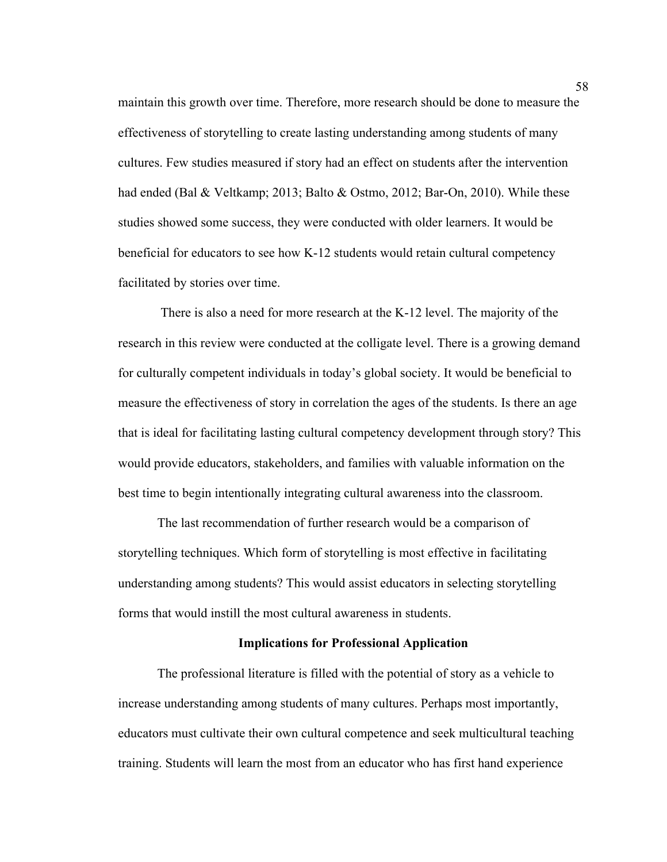maintain this growth over time. Therefore, more research should be done to measure the effectiveness of storytelling to create lasting understanding among students of many cultures. Few studies measured if story had an effect on students after the intervention had ended (Bal & Veltkamp; 2013; Balto & Ostmo, 2012; Bar-On, 2010). While these studies showed some success, they were conducted with older learners. It would be beneficial for educators to see how K-12 students would retain cultural competency facilitated by stories over time.

There is also a need for more research at the K-12 level. The majority of the research in this review were conducted at the colligate level. There is a growing demand for culturally competent individuals in today's global society. It would be beneficial to measure the effectiveness of story in correlation the ages of the students. Is there an age that is ideal for facilitating lasting cultural competency development through story? This would provide educators, stakeholders, and families with valuable information on the best time to begin intentionally integrating cultural awareness into the classroom.

The last recommendation of further research would be a comparison of storytelling techniques. Which form of storytelling is most effective in facilitating understanding among students? This would assist educators in selecting storytelling forms that would instill the most cultural awareness in students.

#### **Implications for Professional Application**

The professional literature is filled with the potential of story as a vehicle to increase understanding among students of many cultures. Perhaps most importantly, educators must cultivate their own cultural competence and seek multicultural teaching training. Students will learn the most from an educator who has first hand experience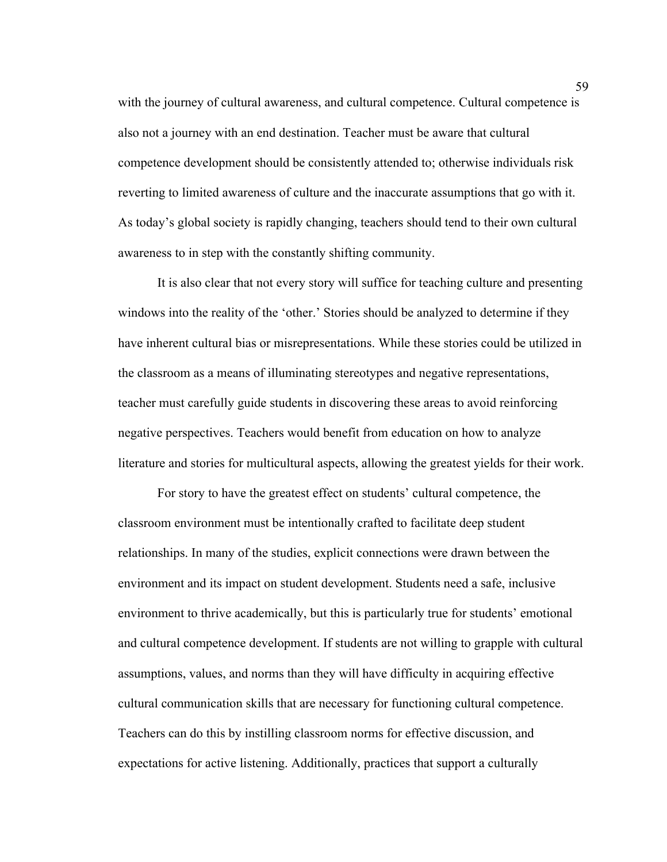with the journey of cultural awareness, and cultural competence. Cultural competence is also not a journey with an end destination. Teacher must be aware that cultural competence development should be consistently attended to; otherwise individuals risk reverting to limited awareness of culture and the inaccurate assumptions that go with it. As today's global society is rapidly changing, teachers should tend to their own cultural awareness to in step with the constantly shifting community.

It is also clear that not every story will suffice for teaching culture and presenting windows into the reality of the 'other.' Stories should be analyzed to determine if they have inherent cultural bias or misrepresentations. While these stories could be utilized in the classroom as a means of illuminating stereotypes and negative representations, teacher must carefully guide students in discovering these areas to avoid reinforcing negative perspectives. Teachers would benefit from education on how to analyze literature and stories for multicultural aspects, allowing the greatest yields for their work.

For story to have the greatest effect on students' cultural competence, the classroom environment must be intentionally crafted to facilitate deep student relationships. In many of the studies, explicit connections were drawn between the environment and its impact on student development. Students need a safe, inclusive environment to thrive academically, but this is particularly true for students' emotional and cultural competence development. If students are not willing to grapple with cultural assumptions, values, and norms than they will have difficulty in acquiring effective cultural communication skills that are necessary for functioning cultural competence. Teachers can do this by instilling classroom norms for effective discussion, and expectations for active listening. Additionally, practices that support a culturally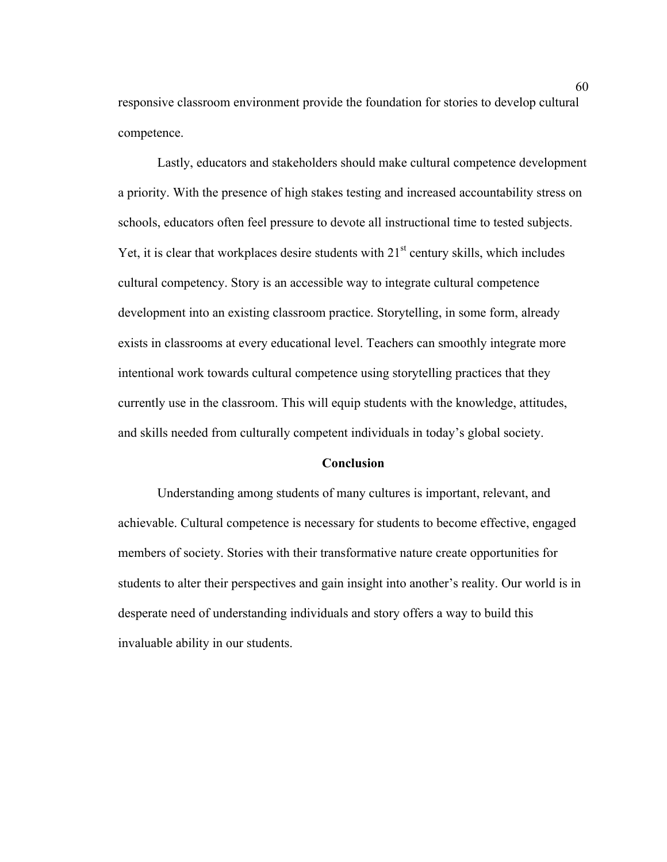responsive classroom environment provide the foundation for stories to develop cultural competence.

Lastly, educators and stakeholders should make cultural competence development a priority. With the presence of high stakes testing and increased accountability stress on schools, educators often feel pressure to devote all instructional time to tested subjects. Yet, it is clear that workplaces desire students with  $21<sup>st</sup>$  century skills, which includes cultural competency. Story is an accessible way to integrate cultural competence development into an existing classroom practice. Storytelling, in some form, already exists in classrooms at every educational level. Teachers can smoothly integrate more intentional work towards cultural competence using storytelling practices that they currently use in the classroom. This will equip students with the knowledge, attitudes, and skills needed from culturally competent individuals in today's global society.

#### **Conclusion**

Understanding among students of many cultures is important, relevant, and achievable. Cultural competence is necessary for students to become effective, engaged members of society. Stories with their transformative nature create opportunities for students to alter their perspectives and gain insight into another's reality. Our world is in desperate need of understanding individuals and story offers a way to build this invaluable ability in our students.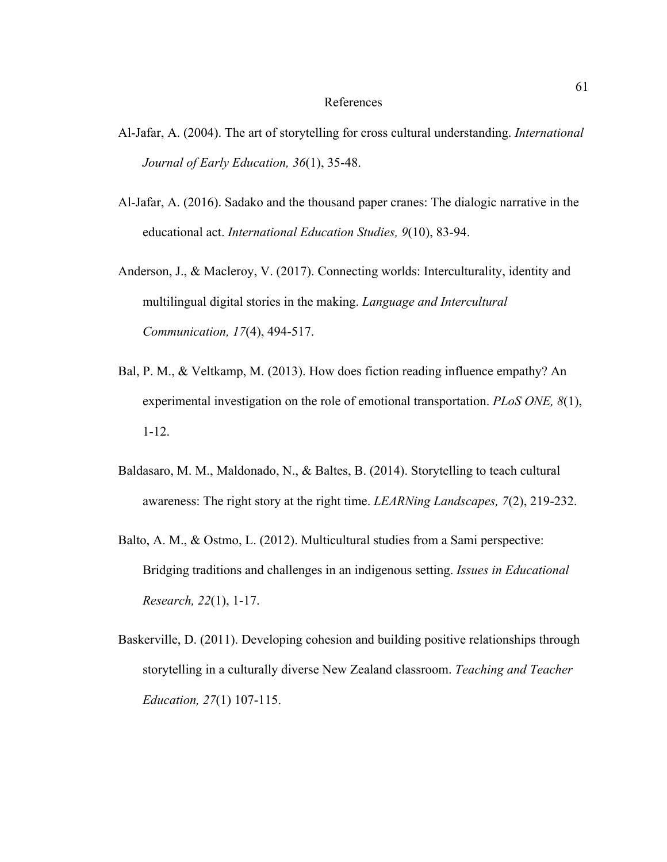#### References

- Al-Jafar, A. (2004). The art of storytelling for cross cultural understanding. *International Journal of Early Education, 36*(1), 35-48.
- Al-Jafar, A. (2016). Sadako and the thousand paper cranes: The dialogic narrative in the educational act. *International Education Studies, 9*(10), 83-94.
- Anderson, J., & Macleroy, V. (2017). Connecting worlds: Interculturality, identity and multilingual digital stories in the making. *Language and Intercultural Communication, 17*(4), 494-517.
- Bal, P. M., & Veltkamp, M. (2013). How does fiction reading influence empathy? An experimental investigation on the role of emotional transportation. *PLoS ONE, 8*(1), 1-12.
- Baldasaro, M. M., Maldonado, N., & Baltes, B. (2014). Storytelling to teach cultural awareness: The right story at the right time. *LEARNing Landscapes, 7*(2), 219-232.
- Balto, A. M., & Ostmo, L. (2012). Multicultural studies from a Sami perspective: Bridging traditions and challenges in an indigenous setting. *Issues in Educational Research, 22*(1), 1-17.
- Baskerville, D. (2011). Developing cohesion and building positive relationships through storytelling in a culturally diverse New Zealand classroom. *Teaching and Teacher Education, 27*(1) 107-115.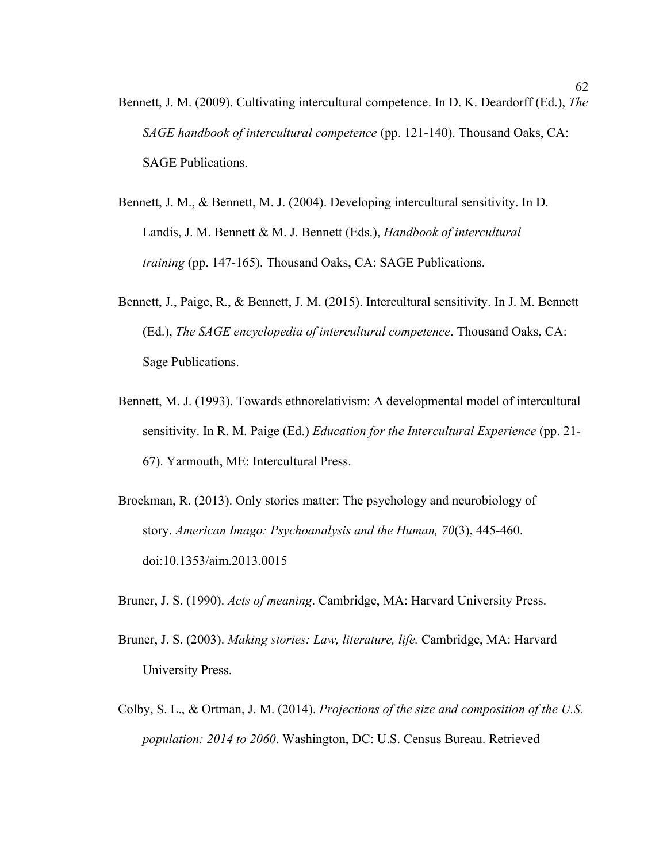- Bennett, J. M. (2009). Cultivating intercultural competence. In D. K. Deardorff (Ed.), *The SAGE handbook of intercultural competence* (pp. 121-140). Thousand Oaks, CA: SAGE Publications.
- Bennett, J. M., & Bennett, M. J. (2004). Developing intercultural sensitivity. In D. Landis, J. M. Bennett & M. J. Bennett (Eds.), *Handbook of intercultural training* (pp. 147-165). Thousand Oaks, CA: SAGE Publications.
- Bennett, J., Paige, R., & Bennett, J. M. (2015). Intercultural sensitivity. In J. M. Bennett (Ed.), *The SAGE encyclopedia of intercultural competence*. Thousand Oaks, CA: Sage Publications.
- Bennett, M. J. (1993). Towards ethnorelativism: A developmental model of intercultural sensitivity. In R. M. Paige (Ed.) *Education for the Intercultural Experience* (pp. 21- 67). Yarmouth, ME: Intercultural Press.
- Brockman, R. (2013). Only stories matter: The psychology and neurobiology of story. *American Imago: Psychoanalysis and the Human, 70*(3), 445-460. doi:10.1353/aim.2013.0015
- Bruner, J. S. (1990). *Acts of meaning*. Cambridge, MA: Harvard University Press.
- Bruner, J. S. (2003). *Making stories: Law, literature, life.* Cambridge, MA: Harvard University Press.
- Colby, S. L., & Ortman, J. M. (2014). *Projections of the size and composition of the U.S. population: 2014 to 2060*. Washington, DC: U.S. Census Bureau. Retrieved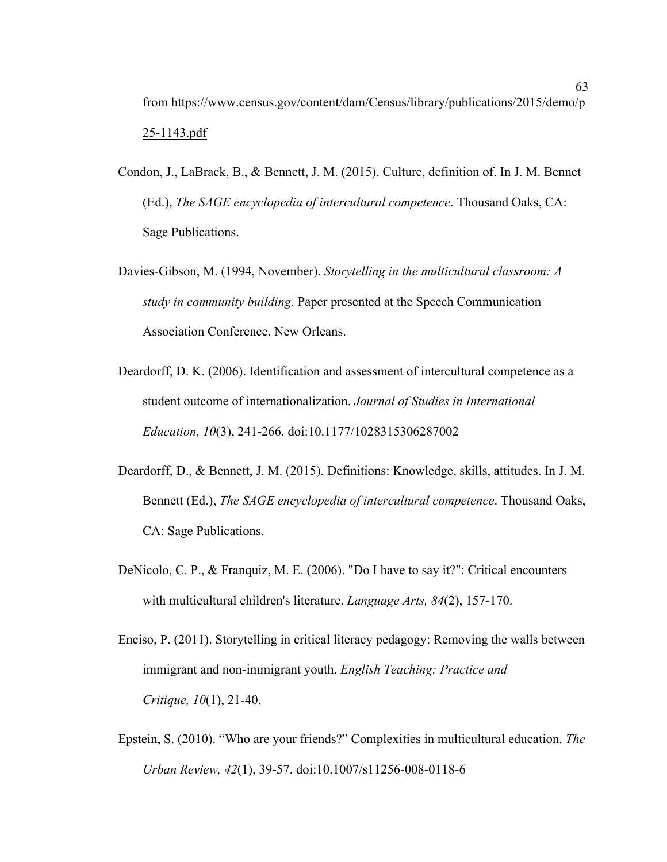- Condon, J., LaBrack, B., & Bennett, J. M. (2015). Culture, definition of. In J. M. Bennet (Ed.), *The SAGE encyclopedia of intercultural competence*. Thousand Oaks, CA: Sage Publications.
- Davies-Gibson, M. (1994, November). *Storytelling in the multicultural classroom: A study in community building.* Paper presented at the Speech Communication Association Conference, New Orleans.
- Deardorff, D. K. (2006). Identification and assessment of intercultural competence as a student outcome of internationalization. *Journal of Studies in International Education, 10*(3), 241-266. doi:10.1177/1028315306287002
- Deardorff, D., & Bennett, J. M. (2015). Definitions: Knowledge, skills, attitudes. In J. M. Bennett (Ed.), *The SAGE encyclopedia of intercultural competence*. Thousand Oaks, CA: Sage Publications.
- DeNicolo, C. P., & Franquiz, M. E. (2006). "Do I have to say it?": Critical encounters with multicultural children's literature. *Language Arts, 84*(2), 157-170.
- Enciso, P. (2011). Storytelling in critical literacy pedagogy: Removing the walls between immigrant and non-immigrant youth. *English Teaching: Practice and Critique, 10*(1), 21-40.
- Epstein, S. (2010). "Who are your friends?" Complexities in multicultural education. *The Urban Review, 42*(1), 39-57. doi:10.1007/s11256-008-0118-6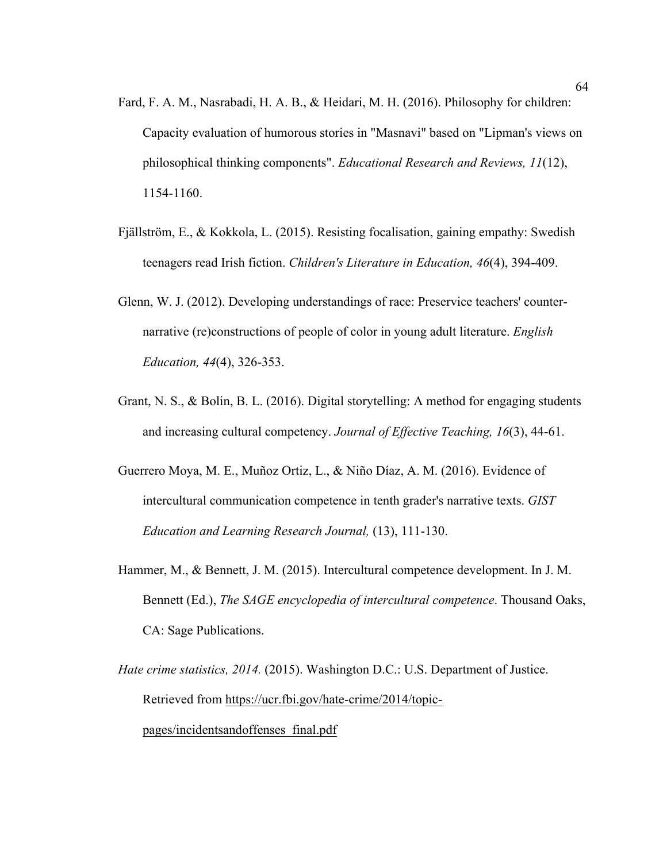- Fard, F. A. M., Nasrabadi, H. A. B., & Heidari, M. H. (2016). Philosophy for children: Capacity evaluation of humorous stories in "Masnavi" based on "Lipman's views on philosophical thinking components". *Educational Research and Reviews, 11*(12), 1154-1160.
- Fjällström, E., & Kokkola, L. (2015). Resisting focalisation, gaining empathy: Swedish teenagers read Irish fiction. *Children's Literature in Education, 46*(4), 394-409.
- Glenn, W. J. (2012). Developing understandings of race: Preservice teachers' counternarrative (re)constructions of people of color in young adult literature. *English Education, 44*(4), 326-353.
- Grant, N. S., & Bolin, B. L. (2016). Digital storytelling: A method for engaging students and increasing cultural competency. *Journal of Effective Teaching, 16*(3), 44-61.
- Guerrero Moya, M. E., Muñoz Ortiz, L., & Niño Díaz, A. M. (2016). Evidence of intercultural communication competence in tenth grader's narrative texts. *GIST Education and Learning Research Journal,* (13), 111-130.
- Hammer, M., & Bennett, J. M. (2015). Intercultural competence development. In J. M. Bennett (Ed.), *The SAGE encyclopedia of intercultural competence*. Thousand Oaks, CA: Sage Publications.
- *Hate crime statistics, 2014.* (2015). Washington D.C.: U.S. Department of Justice. Retrieved from https://ucr.fbi.gov/hate-crime/2014/topicpages/incidentsandoffenses\_final.pdf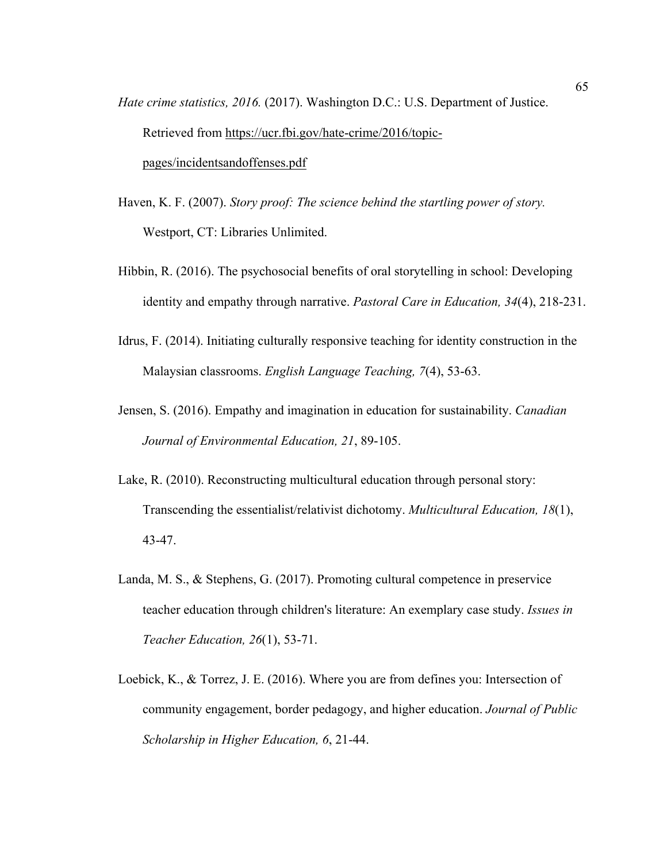- *Hate crime statistics, 2016.* (2017). Washington D.C.: U.S. Department of Justice. Retrieved from https://ucr.fbi.gov/hate-crime/2016/topicpages/incidentsandoffenses.pdf
- Haven, K. F. (2007). *Story proof: The science behind the startling power of story.* Westport, CT: Libraries Unlimited.
- Hibbin, R. (2016). The psychosocial benefits of oral storytelling in school: Developing identity and empathy through narrative. *Pastoral Care in Education, 34*(4), 218-231.
- Idrus, F. (2014). Initiating culturally responsive teaching for identity construction in the Malaysian classrooms. *English Language Teaching, 7*(4), 53-63.
- Jensen, S. (2016). Empathy and imagination in education for sustainability. *Canadian Journal of Environmental Education, 21*, 89-105.
- Lake, R. (2010). Reconstructing multicultural education through personal story: Transcending the essentialist/relativist dichotomy. *Multicultural Education, 18*(1), 43-47.
- Landa, M. S., & Stephens, G. (2017). Promoting cultural competence in preservice teacher education through children's literature: An exemplary case study. *Issues in Teacher Education, 26*(1), 53-71.
- Loebick, K., & Torrez, J. E. (2016). Where you are from defines you: Intersection of community engagement, border pedagogy, and higher education. *Journal of Public Scholarship in Higher Education, 6*, 21-44.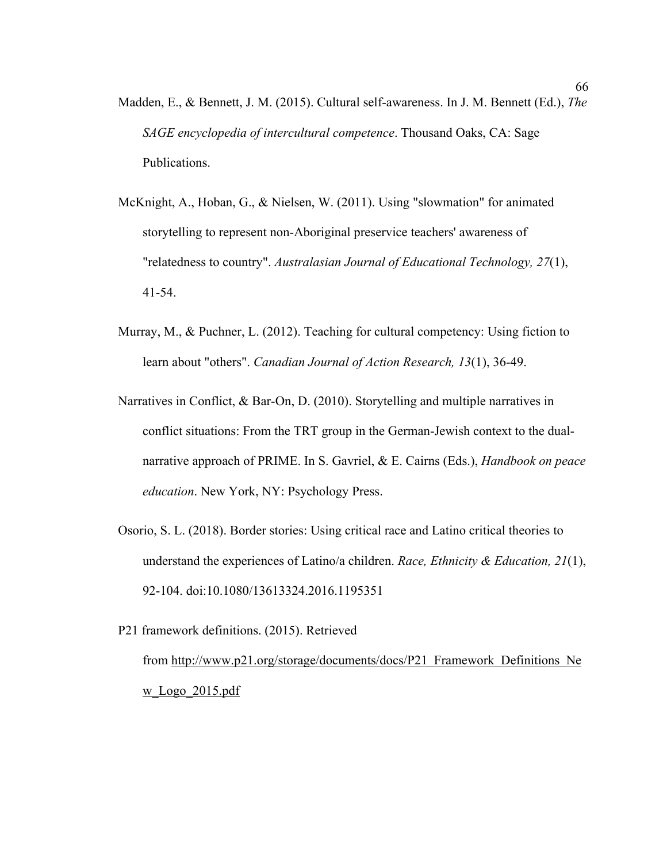- Madden, E., & Bennett, J. M. (2015). Cultural self-awareness. In J. M. Bennett (Ed.), *The SAGE encyclopedia of intercultural competence*. Thousand Oaks, CA: Sage Publications.
- McKnight, A., Hoban, G., & Nielsen, W. (2011). Using "slowmation" for animated storytelling to represent non-Aboriginal preservice teachers' awareness of "relatedness to country". *Australasian Journal of Educational Technology, 27*(1), 41-54.
- Murray, M., & Puchner, L. (2012). Teaching for cultural competency: Using fiction to learn about "others". *Canadian Journal of Action Research, 13*(1), 36-49.
- Narratives in Conflict, & Bar-On, D. (2010). Storytelling and multiple narratives in conflict situations: From the TRT group in the German-Jewish context to the dualnarrative approach of PRIME. In S. Gavriel, & E. Cairns (Eds.), *Handbook on peace education*. New York, NY: Psychology Press.
- Osorio, S. L. (2018). Border stories: Using critical race and Latino critical theories to understand the experiences of Latino/a children. *Race, Ethnicity & Education, 21*(1), 92-104. doi:10.1080/13613324.2016.1195351
- P21 framework definitions. (2015). Retrieved from http://www.p21.org/storage/documents/docs/P21\_Framework\_Definitions\_Ne w\_Logo\_2015.pdf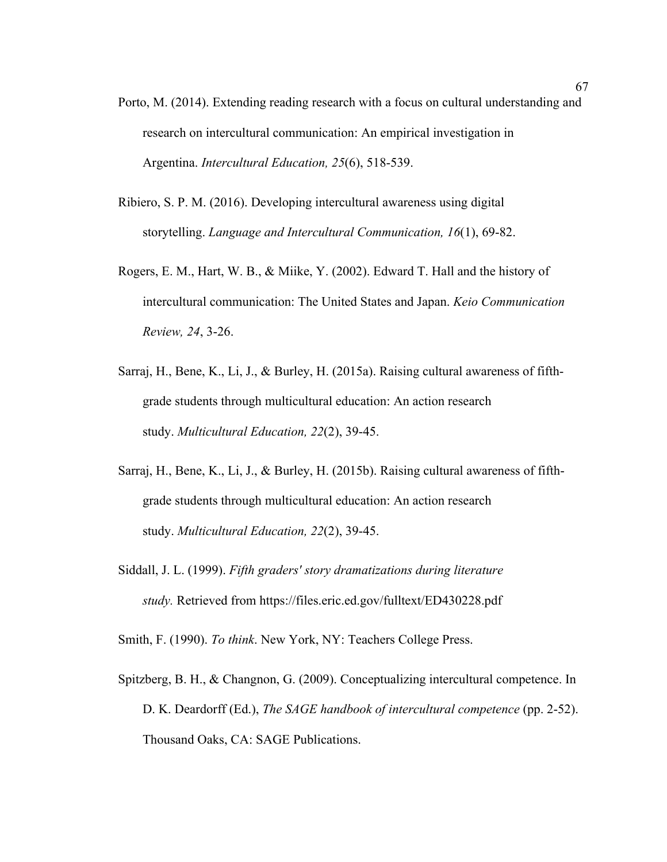- Porto, M. (2014). Extending reading research with a focus on cultural understanding and research on intercultural communication: An empirical investigation in Argentina. *Intercultural Education, 25*(6), 518-539.
- Ribiero, S. P. M. (2016). Developing intercultural awareness using digital storytelling. *Language and Intercultural Communication, 16*(1), 69-82.
- Rogers, E. M., Hart, W. B., & Miike, Y. (2002). Edward T. Hall and the history of intercultural communication: The United States and Japan. *Keio Communication Review, 24*, 3-26.
- Sarraj, H., Bene, K., Li, J., & Burley, H. (2015a). Raising cultural awareness of fifthgrade students through multicultural education: An action research study. *Multicultural Education, 22*(2), 39-45.
- Sarraj, H., Bene, K., Li, J., & Burley, H. (2015b). Raising cultural awareness of fifthgrade students through multicultural education: An action research study. *Multicultural Education, 22*(2), 39-45.
- Siddall, J. L. (1999). *Fifth graders' story dramatizations during literature study.* Retrieved from https://files.eric.ed.gov/fulltext/ED430228.pdf

Smith, F. (1990). *To think*. New York, NY: Teachers College Press.

Spitzberg, B. H., & Changnon, G. (2009). Conceptualizing intercultural competence. In D. K. Deardorff (Ed.), *The SAGE handbook of intercultural competence* (pp. 2-52). Thousand Oaks, CA: SAGE Publications.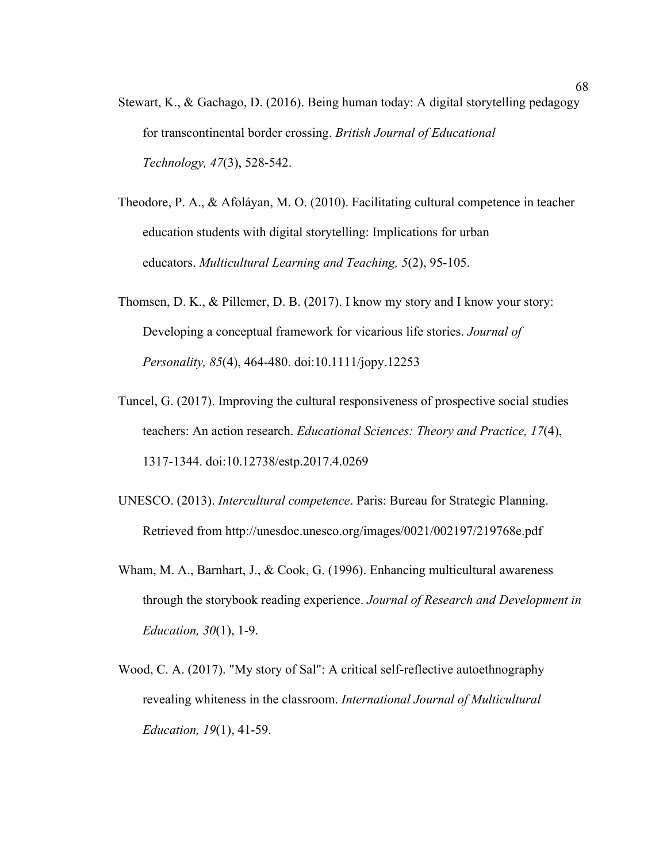- Stewart, K., & Gachago, D. (2016). Being human today: A digital storytelling pedagogy for transcontinental border crossing. *British Journal of Educational Technology, 47*(3), 528-542.
- Theodore, P. A., & Afoláyan, M. O. (2010). Facilitating cultural competence in teacher education students with digital storytelling: Implications for urban educators. *Multicultural Learning and Teaching, 5*(2), 95-105.
- Thomsen, D. K., & Pillemer, D. B. (2017). I know my story and I know your story: Developing a conceptual framework for vicarious life stories. *Journal of Personality, 85*(4), 464-480. doi:10.1111/jopy.12253
- Tuncel, G. (2017). Improving the cultural responsiveness of prospective social studies teachers: An action research. *Educational Sciences: Theory and Practice, 17*(4), 1317-1344. doi:10.12738/estp.2017.4.0269
- UNESCO. (2013). *Intercultural competence*. Paris: Bureau for Strategic Planning. Retrieved from http://unesdoc.unesco.org/images/0021/002197/219768e.pdf
- Wham, M. A., Barnhart, J., & Cook, G. (1996). Enhancing multicultural awareness through the storybook reading experience. *Journal of Research and Development in Education, 30*(1), 1-9.
- Wood, C. A. (2017). "My story of Sal": A critical self-reflective autoethnography revealing whiteness in the classroom. *International Journal of Multicultural Education, 19*(1), 41-59.